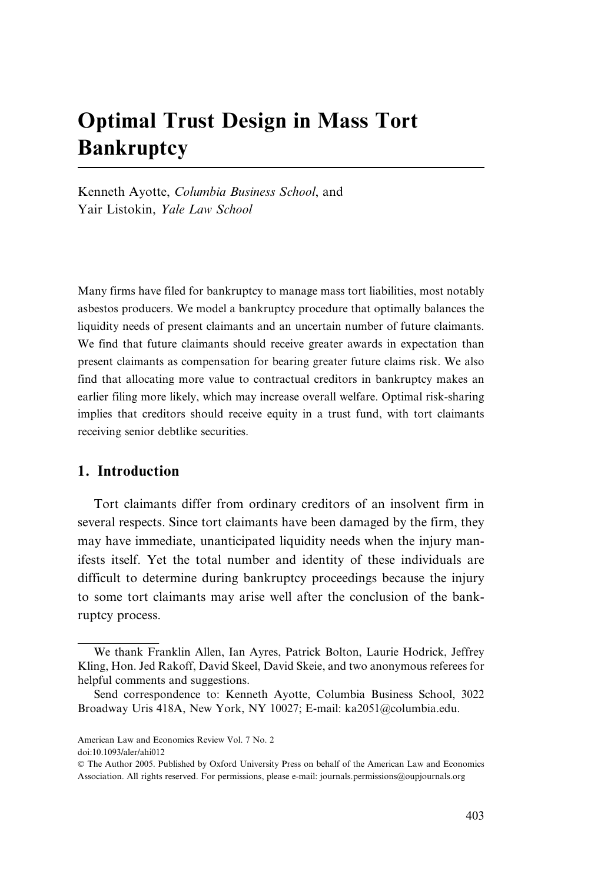# Optimal Trust Design in Mass Tort **Bankruptcy**

Kenneth Ayotte, Columbia Business School, and Yair Listokin, Yale Law School

Many firms have filed for bankruptcy to manage mass tort liabilities, most notably asbestos producers. We model a bankruptcy procedure that optimally balances the liquidity needs of present claimants and an uncertain number of future claimants. We find that future claimants should receive greater awards in expectation than present claimants as compensation for bearing greater future claims risk. We also find that allocating more value to contractual creditors in bankruptcy makes an earlier filing more likely, which may increase overall welfare. Optimal risk-sharing implies that creditors should receive equity in a trust fund, with tort claimants receiving senior debtlike securities.

# 1. Introduction

Tort claimants differ from ordinary creditors of an insolvent firm in several respects. Since tort claimants have been damaged by the firm, they may have immediate, unanticipated liquidity needs when the injury manifests itself. Yet the total number and identity of these individuals are difficult to determine during bankruptcy proceedings because the injury to some tort claimants may arise well after the conclusion of the bankruptcy process.

We thank Franklin Allen, Ian Ayres, Patrick Bolton, Laurie Hodrick, Jeffrey Kling, Hon. Jed Rakoff, David Skeel, David Skeie, and two anonymous referees for helpful comments and suggestions.

Send correspondence to: Kenneth Ayotte, Columbia Business School, 3022 Broadway Uris 418A, New York, NY 10027; E-mail: ka2051@columbia.edu.

American Law and Economics Review Vol. 7 No. 2

doi:10.1093/aler/ahi012

The Author 2005. Published by Oxford University Press on behalf of the American Law and Economics Association. All rights reserved. For permissions, please e-mail: journals.permissions@oupjournals.org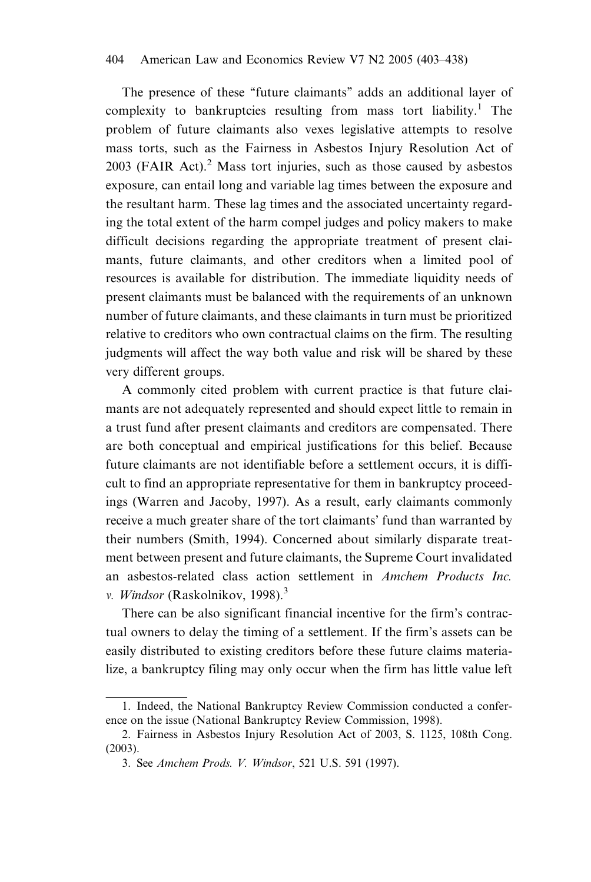The presence of these "future claimants" adds an additional laver of complexity to bankruptcies resulting from mass tort liability.<sup>1</sup> The problem of future claimants also vexes legislative attempts to resolve mass torts, such as the Fairness in Asbestos Injury Resolution Act of 2003 (FAIR Act).<sup>2</sup> Mass tort injuries, such as those caused by asbestos exposure, can entail long and variable lag times between the exposure and the resultant harm. These lag times and the associated uncertainty regarding the total extent of the harm compel judges and policy makers to make difficult decisions regarding the appropriate treatment of present claimants, future claimants, and other creditors when a limited pool of resources is available for distribution. The immediate liquidity needs of present claimants must be balanced with the requirements of an unknown number of future claimants, and these claimants in turn must be prioritized relative to creditors who own contractual claims on the firm. The resulting judgments will affect the way both value and risk will be shared by these very different groups.

A commonly cited problem with current practice is that future claimants are not adequately represented and should expect little to remain in a trust fund after present claimants and creditors are compensated. There are both conceptual and empirical justifications for this belief. Because future claimants are not identifiable before a settlement occurs, it is difficult to find an appropriate representative for them in bankruptcy proceedings (Warren and Jacoby, 1997). As a result, early claimants commonly receive a much greater share of the tort claimants' fund than warranted by their numbers (Smith, 1994). Concerned about similarly disparate treatment between present and future claimants, the Supreme Court invalidated an asbestos-related class action settlement in Amchem Products Inc. v. Windsor (Raskolnikov, 1998).<sup>3</sup>

There can be also significant financial incentive for the firm's contractual owners to delay the timing of a settlement. If the firm's assets can be easily distributed to existing creditors before these future claims materialize, a bankruptcy filing may only occur when the firm has little value left

<sup>1.</sup> Indeed, the National Bankruptcy Review Commission conducted a conference on the issue (National Bankruptcy Review Commission, 1998).

<sup>2.</sup> Fairness in Asbestos Injury Resolution Act of 2003, S. 1125, 108th Cong. (2003).

<sup>3.</sup> See Amchem Prods. V. Windsor, 521 U.S. 591 (1997).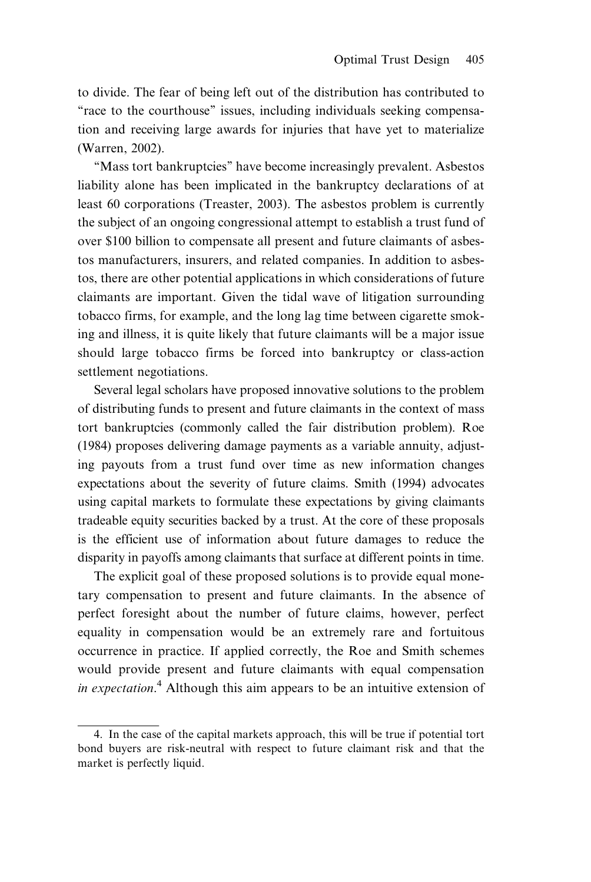to divide. The fear of being left out of the distribution has contributed to "race to the courthouse" issues, including individuals seeking compensation and receiving large awards for injuries that have yet to materialize (Warren, 2002).

''Mass tort bankruptcies'' have become increasingly prevalent. Asbestos liability alone has been implicated in the bankruptcy declarations of at least 60 corporations (Treaster, 2003). The asbestos problem is currently the subject of an ongoing congressional attempt to establish a trust fund of over \$100 billion to compensate all present and future claimants of asbestos manufacturers, insurers, and related companies. In addition to asbestos, there are other potential applications in which considerations of future claimants are important. Given the tidal wave of litigation surrounding tobacco firms, for example, and the long lag time between cigarette smoking and illness, it is quite likely that future claimants will be a major issue should large tobacco firms be forced into bankruptcy or class-action settlement negotiations.

Several legal scholars have proposed innovative solutions to the problem of distributing funds to present and future claimants in the context of mass tort bankruptcies (commonly called the fair distribution problem). Roe (1984) proposes delivering damage payments as a variable annuity, adjusting payouts from a trust fund over time as new information changes expectations about the severity of future claims. Smith (1994) advocates using capital markets to formulate these expectations by giving claimants tradeable equity securities backed by a trust. At the core of these proposals is the efficient use of information about future damages to reduce the disparity in payoffs among claimants that surface at different points in time.

The explicit goal of these proposed solutions is to provide equal monetary compensation to present and future claimants. In the absence of perfect foresight about the number of future claims, however, perfect equality in compensation would be an extremely rare and fortuitous occurrence in practice. If applied correctly, the Roe and Smith schemes would provide present and future claimants with equal compensation in expectation.<sup>4</sup> Although this aim appears to be an intuitive extension of

<sup>4.</sup> In the case of the capital markets approach, this will be true if potential tort bond buyers are risk-neutral with respect to future claimant risk and that the market is perfectly liquid.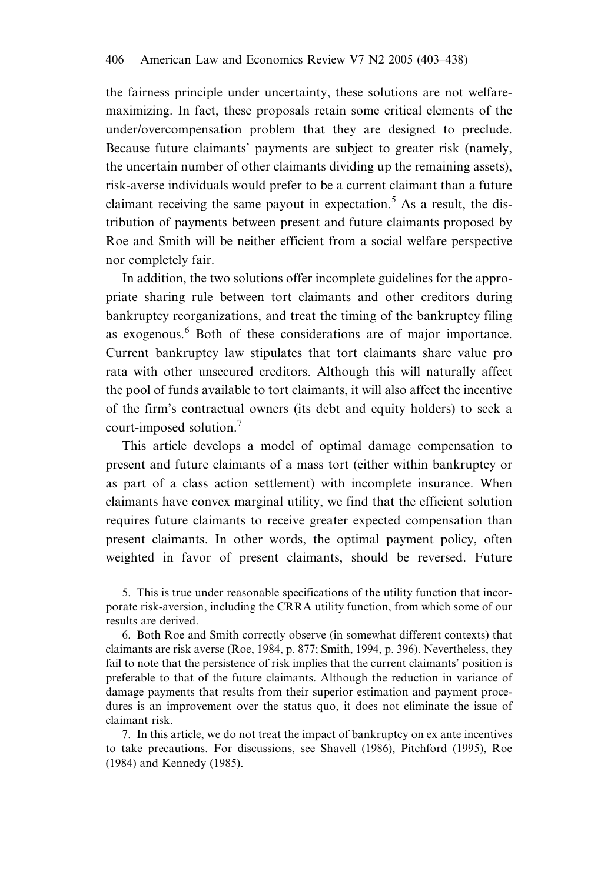the fairness principle under uncertainty, these solutions are not welfaremaximizing. In fact, these proposals retain some critical elements of the under/overcompensation problem that they are designed to preclude. Because future claimants' payments are subject to greater risk (namely, the uncertain number of other claimants dividing up the remaining assets), risk-averse individuals would prefer to be a current claimant than a future claimant receiving the same payout in expectation.<sup>5</sup> As a result, the distribution of payments between present and future claimants proposed by Roe and Smith will be neither efficient from a social welfare perspective nor completely fair.

In addition, the two solutions offer incomplete guidelines for the appropriate sharing rule between tort claimants and other creditors during bankruptcy reorganizations, and treat the timing of the bankruptcy filing as exogenous.<sup>6</sup> Both of these considerations are of major importance. Current bankruptcy law stipulates that tort claimants share value pro rata with other unsecured creditors. Although this will naturally affect the pool of funds available to tort claimants, it will also affect the incentive of the firm's contractual owners (its debt and equity holders) to seek a court-imposed solution.<sup>7</sup>

This article develops a model of optimal damage compensation to present and future claimants of a mass tort (either within bankruptcy or as part of a class action settlement) with incomplete insurance. When claimants have convex marginal utility, we find that the efficient solution requires future claimants to receive greater expected compensation than present claimants. In other words, the optimal payment policy, often weighted in favor of present claimants, should be reversed. Future

<sup>5.</sup> This is true under reasonable specifications of the utility function that incorporate risk-aversion, including the CRRA utility function, from which some of our results are derived.

<sup>6.</sup> Both Roe and Smith correctly observe (in somewhat different contexts) that claimants are risk averse (Roe, 1984, p. 877; Smith, 1994, p. 396). Nevertheless, they fail to note that the persistence of risk implies that the current claimants' position is preferable to that of the future claimants. Although the reduction in variance of damage payments that results from their superior estimation and payment procedures is an improvement over the status quo, it does not eliminate the issue of claimant risk.

<sup>7.</sup> In this article, we do not treat the impact of bankruptcy on ex ante incentives to take precautions. For discussions, see Shavell (1986), Pitchford (1995), Roe (1984) and Kennedy (1985).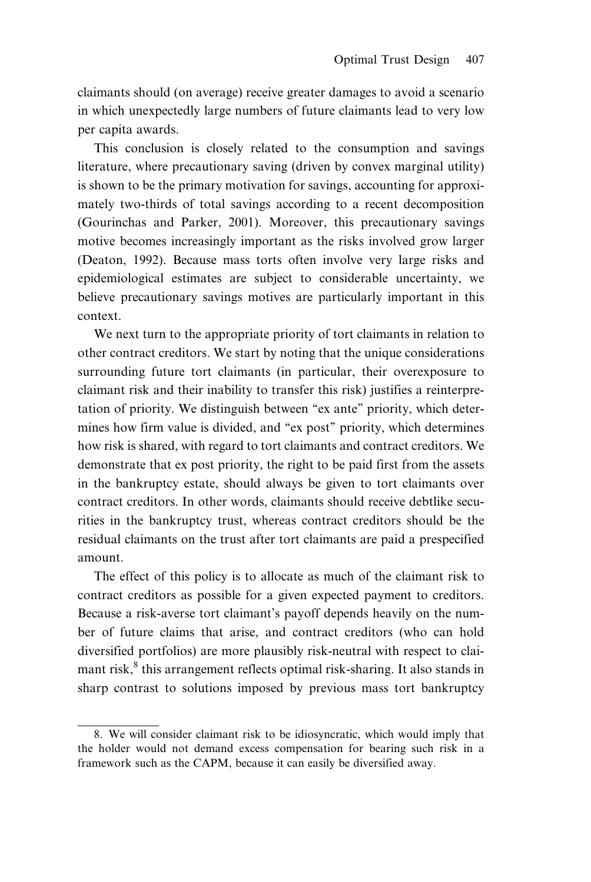claimants should (on average) receive greater damages to avoid a scenario in which unexpectedly large numbers of future claimants lead to very low per capita awards.

This conclusion is closely related to the consumption and savings literature, where precautionary saving (driven by convex marginal utility) is shown to be the primary motivation for savings, accounting for approximately two-thirds of total savings according to a recent decomposition (Gourinchas and Parker, 2001). Moreover, this precautionary savings motive becomes increasingly important as the risks involved grow larger (Deaton, 1992). Because mass torts often involve very large risks and epidemiological estimates are subject to considerable uncertainty, we believe precautionary savings motives are particularly important in this context.

We next turn to the appropriate priority of tort claimants in relation to other contract creditors. We start by noting that the unique considerations surrounding future tort claimants (in particular, their overexposure to claimant risk and their inability to transfer this risk) justifies a reinterpretation of priority. We distinguish between ''ex ante'' priority, which determines how firm value is divided, and "ex post" priority, which determines how risk is shared, with regard to tort claimants and contract creditors. We demonstrate that ex post priority, the right to be paid first from the assets in the bankruptcy estate, should always be given to tort claimants over contract creditors. In other words, claimants should receive debtlike securities in the bankruptcy trust, whereas contract creditors should be the residual claimants on the trust after tort claimants are paid a prespecified amount.

The effect of this policy is to allocate as much of the claimant risk to contract creditors as possible for a given expected payment to creditors. Because a risk-averse tort claimant's payoff depends heavily on the number of future claims that arise, and contract creditors (who can hold diversified portfolios) are more plausibly risk-neutral with respect to claimant risk,<sup>8</sup> this arrangement reflects optimal risk-sharing. It also stands in sharp contrast to solutions imposed by previous mass tort bankruptcy

<sup>8.</sup> We will consider claimant risk to be idiosyncratic, which would imply that the holder would not demand excess compensation for bearing such risk in a framework such as the CAPM, because it can easily be diversified away.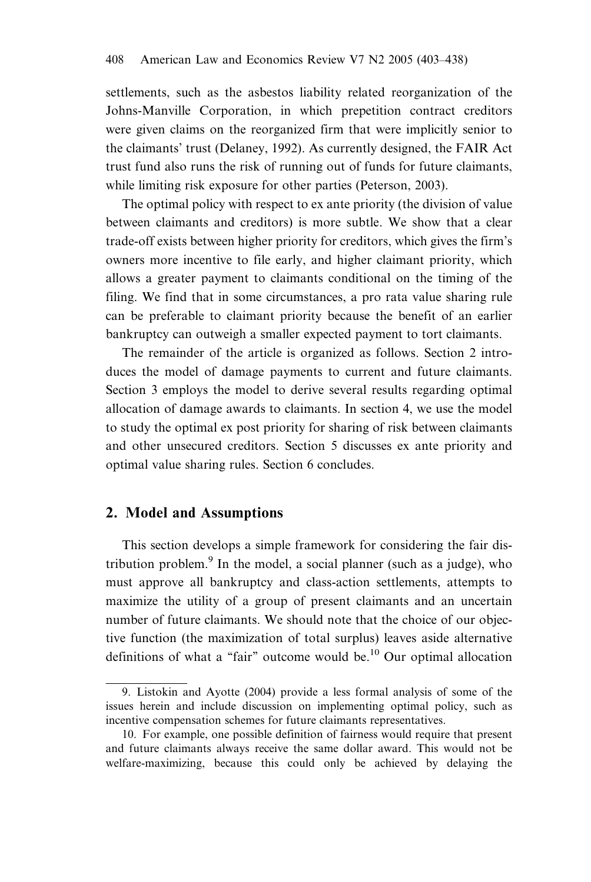settlements, such as the asbestos liability related reorganization of the Johns-Manville Corporation, in which prepetition contract creditors were given claims on the reorganized firm that were implicitly senior to the claimants' trust (Delaney, 1992). As currently designed, the FAIR Act trust fund also runs the risk of running out of funds for future claimants, while limiting risk exposure for other parties (Peterson, 2003).

The optimal policy with respect to ex ante priority (the division of value between claimants and creditors) is more subtle. We show that a clear trade-off exists between higher priority for creditors, which gives the firm's owners more incentive to file early, and higher claimant priority, which allows a greater payment to claimants conditional on the timing of the filing. We find that in some circumstances, a pro rata value sharing rule can be preferable to claimant priority because the benefit of an earlier bankruptcy can outweigh a smaller expected payment to tort claimants.

The remainder of the article is organized as follows. Section 2 introduces the model of damage payments to current and future claimants. Section 3 employs the model to derive several results regarding optimal allocation of damage awards to claimants. In section 4, we use the model to study the optimal ex post priority for sharing of risk between claimants and other unsecured creditors. Section 5 discusses ex ante priority and optimal value sharing rules. Section 6 concludes.

# 2. Model and Assumptions

This section develops a simple framework for considering the fair distribution problem. $9$  In the model, a social planner (such as a judge), who must approve all bankruptcy and class-action settlements, attempts to maximize the utility of a group of present claimants and an uncertain number of future claimants. We should note that the choice of our objective function (the maximization of total surplus) leaves aside alternative definitions of what a "fair" outcome would be.<sup>10</sup> Our optimal allocation

<sup>9.</sup> Listokin and Ayotte (2004) provide a less formal analysis of some of the issues herein and include discussion on implementing optimal policy, such as incentive compensation schemes for future claimants representatives.

<sup>10.</sup> For example, one possible definition of fairness would require that present and future claimants always receive the same dollar award. This would not be welfare-maximizing, because this could only be achieved by delaying the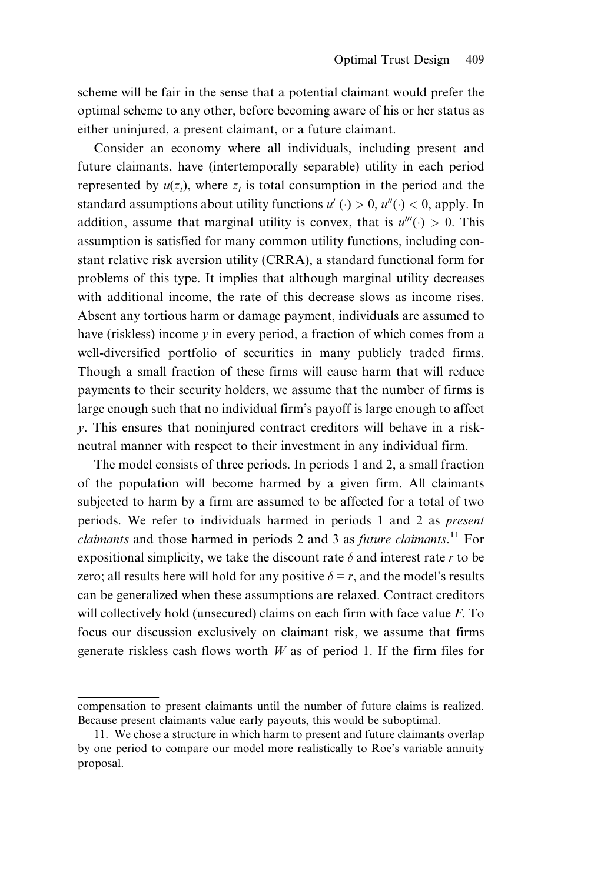scheme will be fair in the sense that a potential claimant would prefer the optimal scheme to any other, before becoming aware of his or her status as either uninjured, a present claimant, or a future claimant.

Consider an economy where all individuals, including present and future claimants, have (intertemporally separable) utility in each period represented by  $u(z_t)$ , where  $z_t$  is total consumption in the period and the standard assumptions about utility functions  $u'(.) > 0$ ,  $u''(.) < 0$ , apply. In addition, assume that marginal utility is convex, that is  $u'''(.) > 0$ . This assumption is satisfied for many common utility functions, including constant relative risk aversion utility (CRRA), a standard functional form for problems of this type. It implies that although marginal utility decreases with additional income, the rate of this decrease slows as income rises. Absent any tortious harm or damage payment, individuals are assumed to have (riskless) income  $y$  in every period, a fraction of which comes from a well-diversified portfolio of securities in many publicly traded firms. Though a small fraction of these firms will cause harm that will reduce payments to their security holders, we assume that the number of firms is large enough such that no individual firm's payoff is large enough to affect  $\nu$ . This ensures that noninjured contract creditors will behave in a riskneutral manner with respect to their investment in any individual firm.

The model consists of three periods. In periods 1 and 2, a small fraction of the population will become harmed by a given firm. All claimants subjected to harm by a firm are assumed to be affected for a total of two periods. We refer to individuals harmed in periods 1 and 2 as present claimants and those harmed in periods 2 and 3 as future claimants.<sup>11</sup> For expositional simplicity, we take the discount rate  $\delta$  and interest rate r to be zero; all results here will hold for any positive  $\delta = r$ , and the model's results can be generalized when these assumptions are relaxed. Contract creditors will collectively hold (unsecured) claims on each firm with face value F. To focus our discussion exclusively on claimant risk, we assume that firms generate riskless cash flows worth  $W$  as of period 1. If the firm files for

compensation to present claimants until the number of future claims is realized. Because present claimants value early payouts, this would be suboptimal.

<sup>11.</sup> We chose a structure in which harm to present and future claimants overlap by one period to compare our model more realistically to Roe's variable annuity proposal.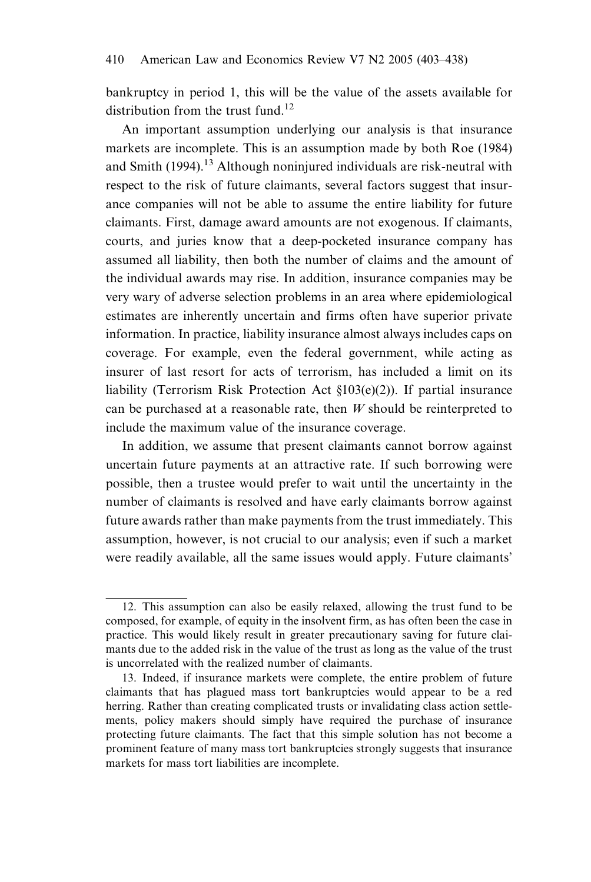bankruptcy in period 1, this will be the value of the assets available for distribution from the trust fund.<sup>12</sup>

An important assumption underlying our analysis is that insurance markets are incomplete. This is an assumption made by both Roe (1984) and Smith  $(1994)$ <sup>13</sup> Although noninjured individuals are risk-neutral with respect to the risk of future claimants, several factors suggest that insurance companies will not be able to assume the entire liability for future claimants. First, damage award amounts are not exogenous. If claimants, courts, and juries know that a deep-pocketed insurance company has assumed all liability, then both the number of claims and the amount of the individual awards may rise. In addition, insurance companies may be very wary of adverse selection problems in an area where epidemiological estimates are inherently uncertain and firms often have superior private information. In practice, liability insurance almost always includes caps on coverage. For example, even the federal government, while acting as insurer of last resort for acts of terrorism, has included a limit on its liability (Terrorism Risk Protection Act §103(e)(2)). If partial insurance can be purchased at a reasonable rate, then  $W$  should be reinterpreted to include the maximum value of the insurance coverage.

In addition, we assume that present claimants cannot borrow against uncertain future payments at an attractive rate. If such borrowing were possible, then a trustee would prefer to wait until the uncertainty in the number of claimants is resolved and have early claimants borrow against future awards rather than make payments from the trust immediately. This assumption, however, is not crucial to our analysis; even if such a market were readily available, all the same issues would apply. Future claimants'

<sup>12.</sup> This assumption can also be easily relaxed, allowing the trust fund to be composed, for example, of equity in the insolvent firm, as has often been the case in practice. This would likely result in greater precautionary saving for future claimants due to the added risk in the value of the trust as long as the value of the trust is uncorrelated with the realized number of claimants.

<sup>13.</sup> Indeed, if insurance markets were complete, the entire problem of future claimants that has plagued mass tort bankruptcies would appear to be a red herring. Rather than creating complicated trusts or invalidating class action settlements, policy makers should simply have required the purchase of insurance protecting future claimants. The fact that this simple solution has not become a prominent feature of many mass tort bankruptcies strongly suggests that insurance markets for mass tort liabilities are incomplete.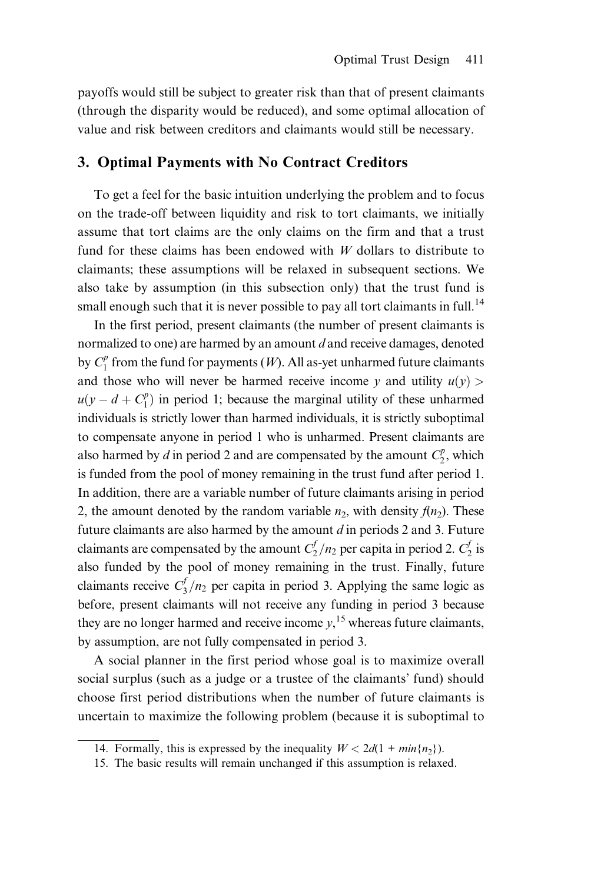payoffs would still be subject to greater risk than that of present claimants (through the disparity would be reduced), and some optimal allocation of value and risk between creditors and claimants would still be necessary.

## 3. Optimal Payments with No Contract Creditors

To get a feel for the basic intuition underlying the problem and to focus on the trade-off between liquidity and risk to tort claimants, we initially assume that tort claims are the only claims on the firm and that a trust fund for these claims has been endowed with  $W$  dollars to distribute to claimants; these assumptions will be relaxed in subsequent sections. We also take by assumption (in this subsection only) that the trust fund is small enough such that it is never possible to pay all tort claimants in full.<sup>14</sup>

In the first period, present claimants (the number of present claimants is normalized to one) are harmed by an amount  $d$  and receive damages, denoted by  $C_1^p$  from the fund for payments (*W*). All as-yet unharmed future claimants and those who will never be harmed receive income y and utility  $u(y)$  $u(y - d + C_1^p)$  in period 1; because the marginal utility of these unharmed individuals is strictly lower than harmed individuals, it is strictly suboptimal to compensate anyone in period 1 who is unharmed. Present claimants are also harmed by d in period 2 and are compensated by the amount  $C_2^p$ , which is funded from the pool of money remaining in the trust fund after period 1. In addition, there are a variable number of future claimants arising in period 2, the amount denoted by the random variable  $n_2$ , with density  $f(n_2)$ . These future claimants are also harmed by the amount  $d$  in periods 2 and 3. Future claimants are compensated by the amount  $C_2^f/n_2$  per capita in period 2.  $C_2^f$  is also funded by the pool of money remaining in the trust. Finally, future claimants receive  $C_3^f/n_2$  per capita in period 3. Applying the same logic as before, present claimants will not receive any funding in period 3 because they are no longer harmed and receive income  $y<sub>1</sub><sup>15</sup>$  whereas future claimants, by assumption, are not fully compensated in period 3.

A social planner in the first period whose goal is to maximize overall social surplus (such as a judge or a trustee of the claimants' fund) should choose first period distributions when the number of future claimants is uncertain to maximize the following problem (because it is suboptimal to

<sup>14.</sup> Formally, this is expressed by the inequality  $W < 2d(1 + min\{n_2\})$ .

<sup>15.</sup> The basic results will remain unchanged if this assumption is relaxed.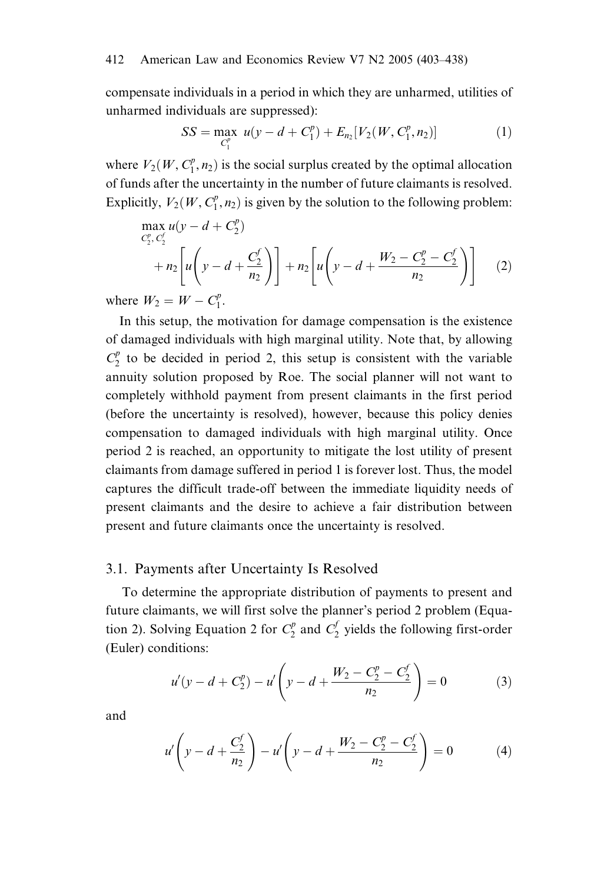compensate individuals in a period in which they are unharmed, utilities of unharmed individuals are suppressed):

$$
SS = \max_{C_1^p} u(y - d + C_1^p) + E_{n_2}[V_2(W, C_1^p, n_2)] \tag{1}
$$

where  $V_2(W, C_1^p, n_2)$  is the social surplus created by the optimal allocation of funds after the uncertainty in the number of future claimants is resolved. Explicitly,  $V_2(W, C_1^p, n_2)$  is given by the solution to the following problem:

$$
\max_{C_2^p, C_2^f} u(y - d + C_2^p) + n_2 \left[ u \left( y - d + \frac{C_2^f}{n_2} \right) \right] + n_2 \left[ u \left( y - d + \frac{W_2 - C_2^p - C_2^f}{n_2} \right) \right] \tag{2}
$$

where  $W_2 = W - C_1^p$ .

In this setup, the motivation for damage compensation is the existence of damaged individuals with high marginal utility. Note that, by allowing  $C_2^p$  to be decided in period 2, this setup is consistent with the variable annuity solution proposed by Roe. The social planner will not want to completely withhold payment from present claimants in the first period (before the uncertainty is resolved), however, because this policy denies compensation to damaged individuals with high marginal utility. Once period 2 is reached, an opportunity to mitigate the lost utility of present claimants from damage suffered in period 1 is forever lost. Thus, the model captures the difficult trade-off between the immediate liquidity needs of present claimants and the desire to achieve a fair distribution between present and future claimants once the uncertainty is resolved.

#### 3.1. Payments after Uncertainty Is Resolved

To determine the appropriate distribution of payments to present and future claimants, we will first solve the planner's period 2 problem (Equation 2). Solving Equation 2 for  $C_2^p$  and  $C_2^f$  yields the following first-order (Euler) conditions:

$$
u'(y - d + C_2^p) - u'\left(y - d + \frac{W_2 - C_2^p - C_2^f}{n_2}\right) = 0
$$
 (3)

and

$$
u'\left(y-d+\frac{C_2'}{n_2}\right)-u'\left(y-d+\frac{W_2-C_2''-C_2'}{n_2}\right)=0
$$
 (4)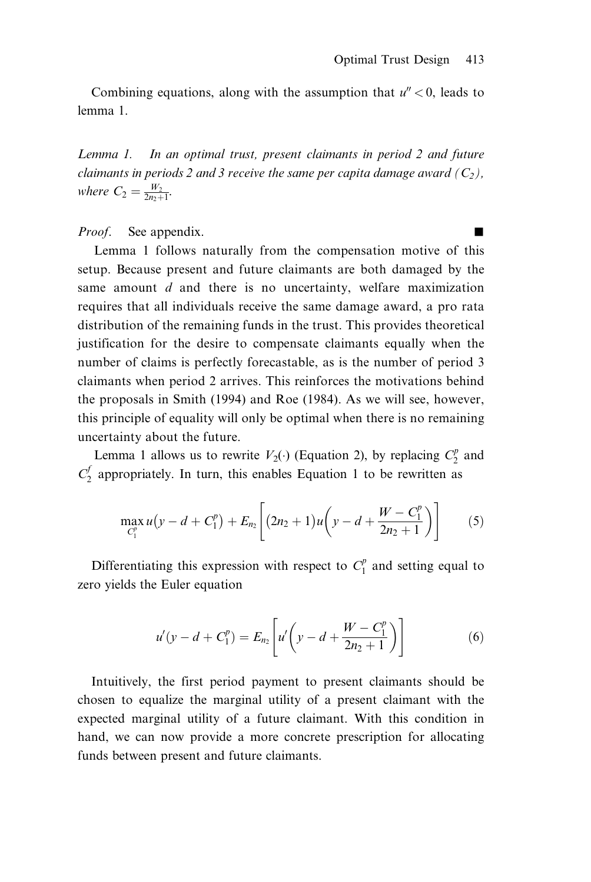Combining equations, along with the assumption that  $u'' < 0$ , leads to lemma 1.

Lemma 1. In an optimal trust, present claimants in period 2 and future claimants in periods 2 and 3 receive the same per capita damage award  $(C_2)$ , where  $C_2 = \frac{W_2}{2n_2+1}$ .

Proof. See appendix.

Lemma 1 follows naturally from the compensation motive of this setup. Because present and future claimants are both damaged by the same amount d and there is no uncertainty, welfare maximization requires that all individuals receive the same damage award, a pro rata distribution of the remaining funds in the trust. This provides theoretical justification for the desire to compensate claimants equally when the number of claims is perfectly forecastable, as is the number of period 3 claimants when period 2 arrives. This reinforces the motivations behind the proposals in Smith (1994) and Roe (1984). As we will see, however, this principle of equality will only be optimal when there is no remaining uncertainty about the future.

Lemma 1 allows us to rewrite  $V_2(\cdot)$  (Equation 2), by replacing  $C_2^p$  and  $C_2^f$  appropriately. In turn, this enables Equation 1 to be rewritten as

$$
\max_{C_1^p} u(y - d + C_1^p) + E_{n_2} \left[ (2n_2 + 1) u \left( y - d + \frac{W - C_1^p}{2n_2 + 1} \right) \right] \tag{5}
$$

Differentiating this expression with respect to  $C_1^p$  and setting equal to zero yields the Euler equation

$$
u'(y - d + C_1^p) = E_{n_2} \left[ u' \left( y - d + \frac{W - C_1^p}{2n_2 + 1} \right) \right]
$$
 (6)

Intuitively, the first period payment to present claimants should be chosen to equalize the marginal utility of a present claimant with the expected marginal utility of a future claimant. With this condition in hand, we can now provide a more concrete prescription for allocating funds between present and future claimants.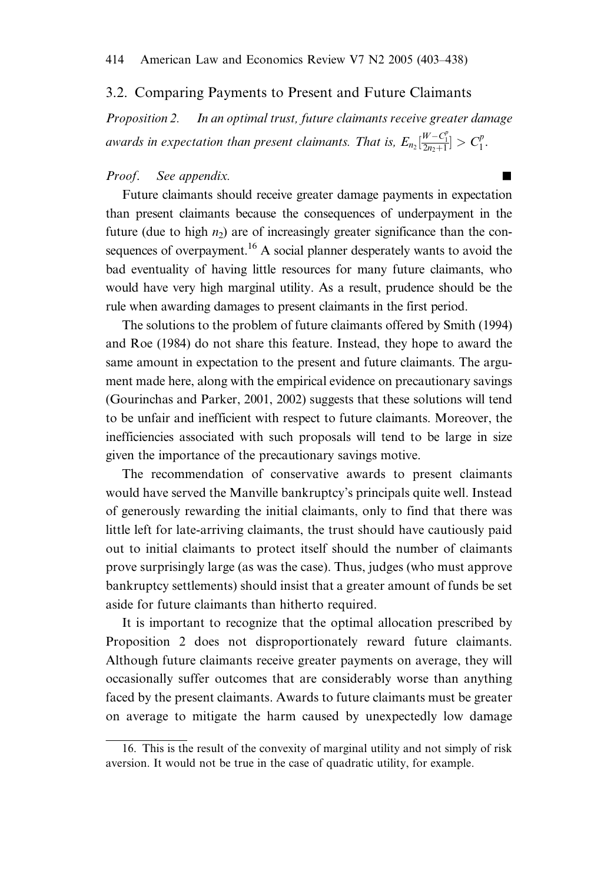# 3.2. Comparing Payments to Present and Future Claimants

Proposition 2. In an optimal trust, future claimants receive greater damage awards in expectation than present claimants. That is,  $E_{n_2}[\frac{W-C_1^p}{2n_2+1}] > C_1^p$ .

#### Proof. See appendix.

Future claimants should receive greater damage payments in expectation than present claimants because the consequences of underpayment in the future (due to high  $n_2$ ) are of increasingly greater significance than the consequences of overpayment.<sup>16</sup> A social planner desperately wants to avoid the bad eventuality of having little resources for many future claimants, who would have very high marginal utility. As a result, prudence should be the rule when awarding damages to present claimants in the first period.

The solutions to the problem of future claimants offered by Smith (1994) and Roe (1984) do not share this feature. Instead, they hope to award the same amount in expectation to the present and future claimants. The argument made here, along with the empirical evidence on precautionary savings (Gourinchas and Parker, 2001, 2002) suggests that these solutions will tend to be unfair and inefficient with respect to future claimants. Moreover, the inefficiencies associated with such proposals will tend to be large in size given the importance of the precautionary savings motive.

The recommendation of conservative awards to present claimants would have served the Manville bankruptcy's principals quite well. Instead of generously rewarding the initial claimants, only to find that there was little left for late-arriving claimants, the trust should have cautiously paid out to initial claimants to protect itself should the number of claimants prove surprisingly large (as was the case). Thus, judges (who must approve bankruptcy settlements) should insist that a greater amount of funds be set aside for future claimants than hitherto required.

It is important to recognize that the optimal allocation prescribed by Proposition 2 does not disproportionately reward future claimants. Although future claimants receive greater payments on average, they will occasionally suffer outcomes that are considerably worse than anything faced by the present claimants. Awards to future claimants must be greater on average to mitigate the harm caused by unexpectedly low damage

<sup>16.</sup> This is the result of the convexity of marginal utility and not simply of risk aversion. It would not be true in the case of quadratic utility, for example.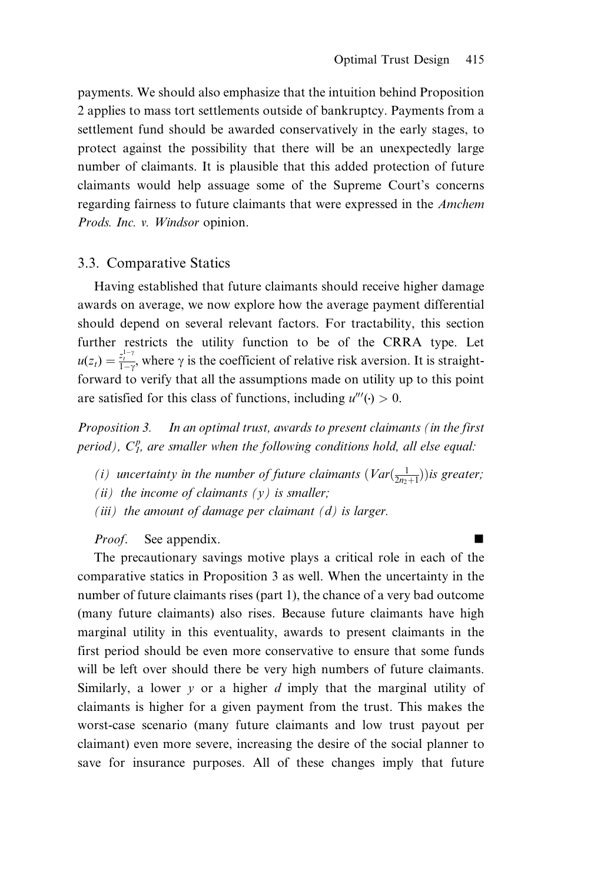payments. We should also emphasize that the intuition behind Proposition 2 applies to mass tort settlements outside of bankruptcy. Payments from a settlement fund should be awarded conservatively in the early stages, to protect against the possibility that there will be an unexpectedly large number of claimants. It is plausible that this added protection of future claimants would help assuage some of the Supreme Court's concerns regarding fairness to future claimants that were expressed in the Amchem Prods. Inc. v. Windsor opinion.

#### 3.3. Comparative Statics

Having established that future claimants should receive higher damage awards on average, we now explore how the average payment differential should depend on several relevant factors. For tractability, this section further restricts the utility function to be of the CRRA type. Let  $u(z_t) = \frac{z_t^{1-\gamma}}{1-\gamma}$ , where  $\gamma$  is the coefficient of relative risk aversion. It is straightforward to verify that all the assumptions made on utility up to this point are satisfied for this class of functions, including  $u'''(\cdot) > 0$ .

Proposition 3. In an optimal trust, awards to present claimants (in the first period),  $C_l^p$ , are smaller when the following conditions hold, all else equal:

- (*i*) uncertainty in the number of future claimants  $(Var(\frac{1}{2n_2+1}))$  is greater;
- (ii) the income of claimants  $(y)$  is smaller;
- (iii) the amount of damage per claimant  $(d)$  is larger.

**Proof.** See appendix.

The precautionary savings motive plays a critical role in each of the comparative statics in Proposition 3 as well. When the uncertainty in the number of future claimants rises (part 1), the chance of a very bad outcome (many future claimants) also rises. Because future claimants have high marginal utility in this eventuality, awards to present claimants in the first period should be even more conservative to ensure that some funds will be left over should there be very high numbers of future claimants. Similarly, a lower  $y$  or a higher  $d$  imply that the marginal utility of claimants is higher for a given payment from the trust. This makes the worst-case scenario (many future claimants and low trust payout per claimant) even more severe, increasing the desire of the social planner to save for insurance purposes. All of these changes imply that future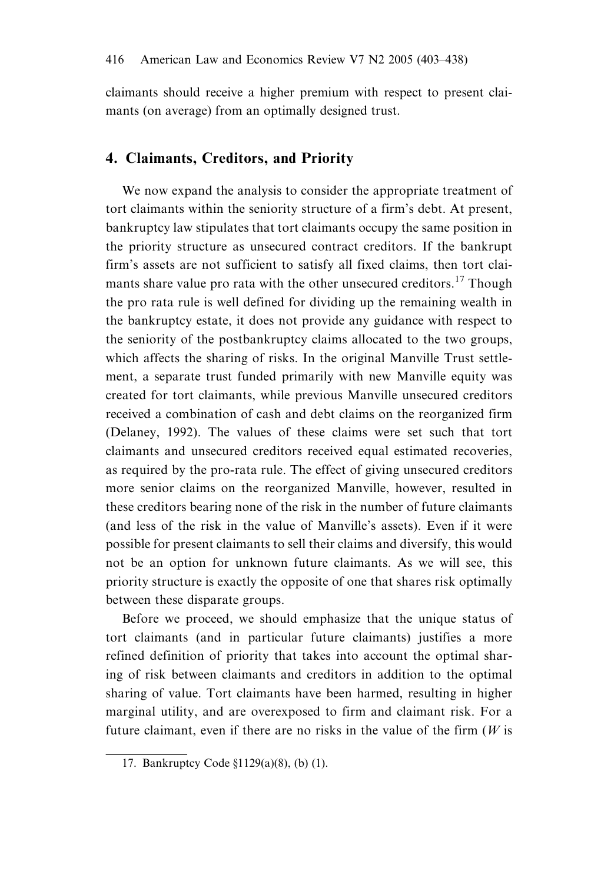claimants should receive a higher premium with respect to present claimants (on average) from an optimally designed trust.

## 4. Claimants, Creditors, and Priority

We now expand the analysis to consider the appropriate treatment of tort claimants within the seniority structure of a firm's debt. At present, bankruptcy law stipulates that tort claimants occupy the same position in the priority structure as unsecured contract creditors. If the bankrupt firm's assets are not sufficient to satisfy all fixed claims, then tort claimants share value pro rata with the other unsecured creditors.<sup>17</sup> Though the pro rata rule is well defined for dividing up the remaining wealth in the bankruptcy estate, it does not provide any guidance with respect to the seniority of the postbankruptcy claims allocated to the two groups, which affects the sharing of risks. In the original Manville Trust settlement, a separate trust funded primarily with new Manville equity was created for tort claimants, while previous Manville unsecured creditors received a combination of cash and debt claims on the reorganized firm (Delaney, 1992). The values of these claims were set such that tort claimants and unsecured creditors received equal estimated recoveries, as required by the pro-rata rule. The effect of giving unsecured creditors more senior claims on the reorganized Manville, however, resulted in these creditors bearing none of the risk in the number of future claimants (and less of the risk in the value of Manville's assets). Even if it were possible for present claimants to sell their claims and diversify, this would not be an option for unknown future claimants. As we will see, this priority structure is exactly the opposite of one that shares risk optimally between these disparate groups.

Before we proceed, we should emphasize that the unique status of tort claimants (and in particular future claimants) justifies a more refined definition of priority that takes into account the optimal sharing of risk between claimants and creditors in addition to the optimal sharing of value. Tort claimants have been harmed, resulting in higher marginal utility, and are overexposed to firm and claimant risk. For a future claimant, even if there are no risks in the value of the firm  $(W \text{ is }$ 

<sup>17.</sup> Bankruptcy Code §1129(a)(8), (b) (1).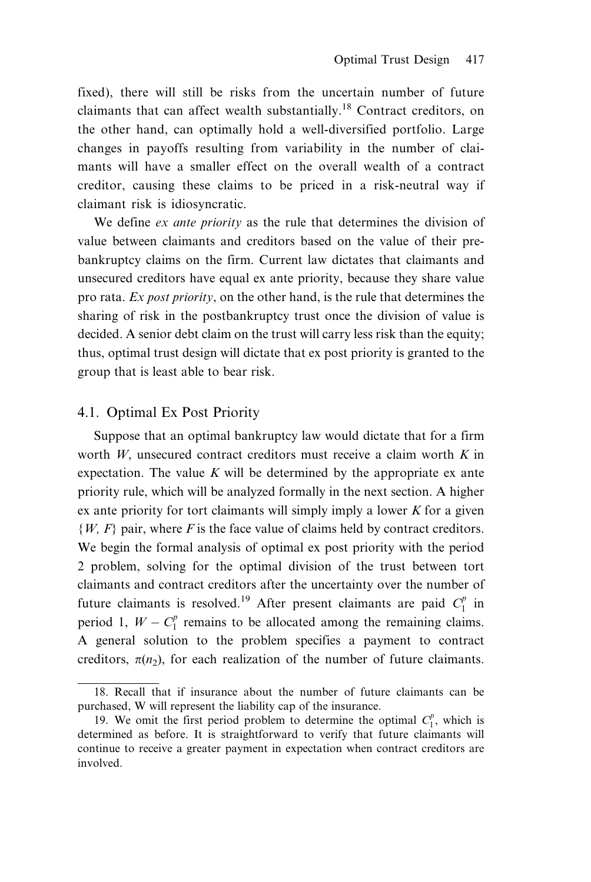fixed), there will still be risks from the uncertain number of future claimants that can affect wealth substantially.<sup>18</sup> Contract creditors, on the other hand, can optimally hold a well-diversified portfolio. Large changes in payoffs resulting from variability in the number of claimants will have a smaller effect on the overall wealth of a contract creditor, causing these claims to be priced in a risk-neutral way if claimant risk is idiosyncratic.

We define *ex ante priority* as the rule that determines the division of value between claimants and creditors based on the value of their prebankruptcy claims on the firm. Current law dictates that claimants and unsecured creditors have equal ex ante priority, because they share value pro rata. Ex post priority, on the other hand, is the rule that determines the sharing of risk in the postbankruptcy trust once the division of value is decided. A senior debt claim on the trust will carry less risk than the equity; thus, optimal trust design will dictate that ex post priority is granted to the group that is least able to bear risk.

# 4.1. Optimal Ex Post Priority

Suppose that an optimal bankruptcy law would dictate that for a firm worth  $W$ , unsecured contract creditors must receive a claim worth  $K$  in expectation. The value  $K$  will be determined by the appropriate ex ante priority rule, which will be analyzed formally in the next section. A higher ex ante priority for tort claimants will simply imply a lower  $K$  for a given  $\{W, F\}$  pair, where F is the face value of claims held by contract creditors. We begin the formal analysis of optimal ex post priority with the period 2 problem, solving for the optimal division of the trust between tort claimants and contract creditors after the uncertainty over the number of future claimants is resolved.<sup>19</sup> After present claimants are paid  $C_1^p$  in period 1,  $W - C_1^p$  remains to be allocated among the remaining claims. A general solution to the problem specifies a payment to contract creditors,  $\pi(n_2)$ , for each realization of the number of future claimants.

<sup>18.</sup> Recall that if insurance about the number of future claimants can be purchased, W will represent the liability cap of the insurance.

<sup>19.</sup> We omit the first period problem to determine the optimal  $C_1^p$ , which is determined as before. It is straightforward to verify that future claimants will continue to receive a greater payment in expectation when contract creditors are involved.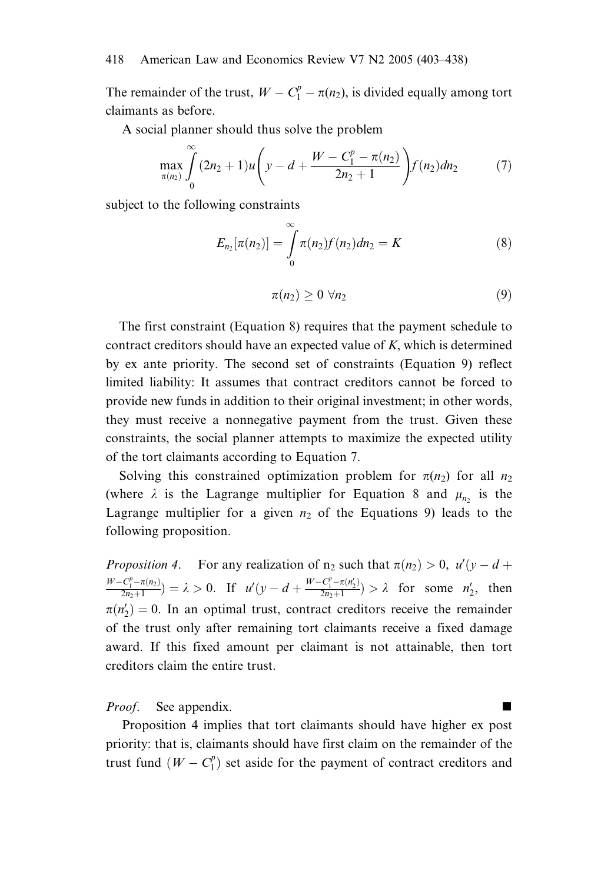The remainder of the trust,  $W - C_1^p - \pi(n_2)$ , is divided equally among tort claimants as before.

A social planner should thus solve the problem

$$
\max_{\pi(n_2)} \int_{0}^{\infty} (2n_2 + 1) u \left( y - d + \frac{W - C_1^p - \pi(n_2)}{2n_2 + 1} \right) f(n_2) dn_2 \tag{7}
$$

subject to the following constraints

$$
E_{n_2}[\pi(n_2)] = \int_{0}^{\infty} \pi(n_2) f(n_2) dn_2 = K \tag{8}
$$

$$
\pi(n_2) \geq 0 \,\forall n_2 \tag{9}
$$

The first constraint (Equation 8) requires that the payment schedule to contract creditors should have an expected value of K, which is determined by ex ante priority. The second set of constraints (Equation 9) reflect limited liability: It assumes that contract creditors cannot be forced to provide new funds in addition to their original investment; in other words, they must receive a nonnegative payment from the trust. Given these constraints, the social planner attempts to maximize the expected utility of the tort claimants according to Equation 7.

Solving this constrained optimization problem for  $\pi(n_2)$  for all  $n_2$ (where  $\lambda$  is the Lagrange multiplier for Equation 8 and  $\mu_n$  is the Lagrange multiplier for a given  $n_2$  of the Equations 9) leads to the following proposition.

Proposition 4. For any realization of  $n_2$  such that  $\pi(n_2) > 0$ ,  $u'(y - d +$  $\frac{W - C_1^p - \pi(n_2)}{2n_2 + 1} = \lambda > 0$ . If  $u'(y - d + \frac{W - C_1^p - \pi(n_2')}{2n_2 + 1}) > \lambda$  for some  $n_2'$ , then  $\pi(n_2') = 0$ . In an optimal trust, contract creditors receive the remainder of the trust only after remaining tort claimants receive a fixed damage award. If this fixed amount per claimant is not attainable, then tort creditors claim the entire trust.

*Proof.* See appendix.

Proposition 4 implies that tort claimants should have higher ex post priority: that is, claimants should have first claim on the remainder of the trust fund  $(W - C_1^p)$  set aside for the payment of contract creditors and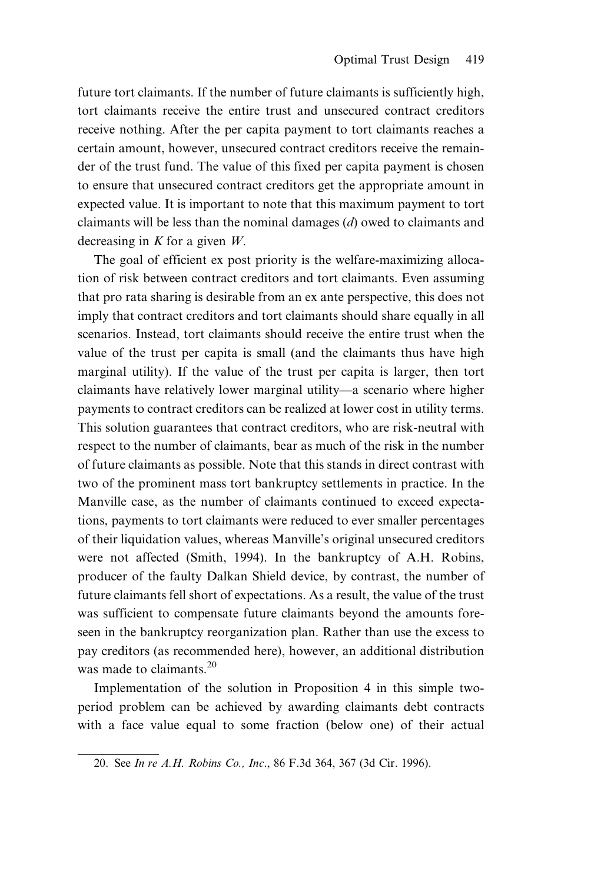future tort claimants. If the number of future claimants is sufficiently high, tort claimants receive the entire trust and unsecured contract creditors receive nothing. After the per capita payment to tort claimants reaches a certain amount, however, unsecured contract creditors receive the remainder of the trust fund. The value of this fixed per capita payment is chosen to ensure that unsecured contract creditors get the appropriate amount in expected value. It is important to note that this maximum payment to tort claimants will be less than the nominal damages (d) owed to claimants and decreasing in  $K$  for a given  $W$ .

The goal of efficient ex post priority is the welfare-maximizing allocation of risk between contract creditors and tort claimants. Even assuming that pro rata sharing is desirable from an ex ante perspective, this does not imply that contract creditors and tort claimants should share equally in all scenarios. Instead, tort claimants should receive the entire trust when the value of the trust per capita is small (and the claimants thus have high marginal utility). If the value of the trust per capita is larger, then tort claimants have relatively lower marginal utility—a scenario where higher payments to contract creditors can be realized at lower cost in utility terms. This solution guarantees that contract creditors, who are risk-neutral with respect to the number of claimants, bear as much of the risk in the number of future claimants as possible. Note that this stands in direct contrast with two of the prominent mass tort bankruptcy settlements in practice. In the Manville case, as the number of claimants continued to exceed expectations, payments to tort claimants were reduced to ever smaller percentages of their liquidation values, whereas Manville's original unsecured creditors were not affected (Smith, 1994). In the bankruptcy of A.H. Robins, producer of the faulty Dalkan Shield device, by contrast, the number of future claimants fell short of expectations. As a result, the value of the trust was sufficient to compensate future claimants beyond the amounts foreseen in the bankruptcy reorganization plan. Rather than use the excess to pay creditors (as recommended here), however, an additional distribution was made to claimants. $^{20}$ 

Implementation of the solution in Proposition 4 in this simple twoperiod problem can be achieved by awarding claimants debt contracts with a face value equal to some fraction (below one) of their actual

<sup>20.</sup> See In re A.H. Robins Co., Inc., 86 F.3d 364, 367 (3d Cir. 1996).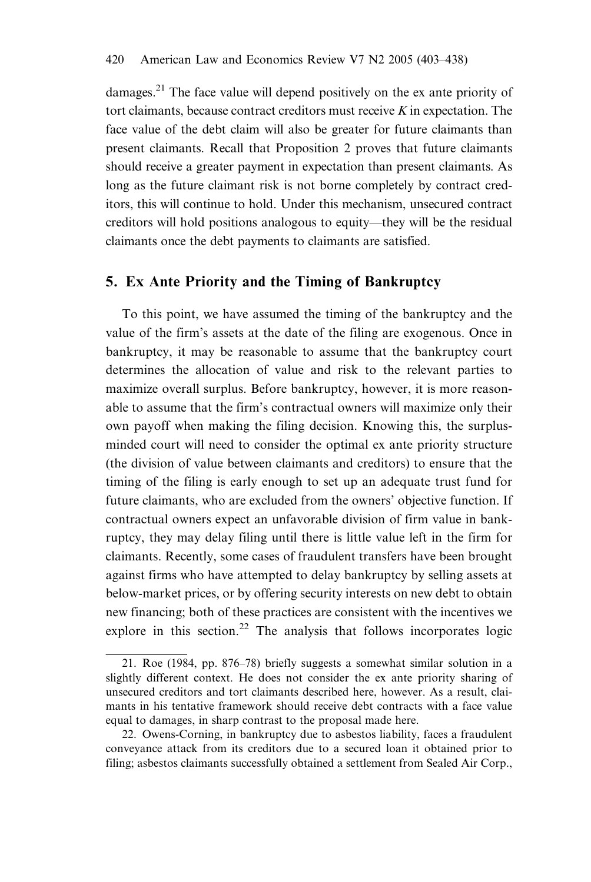damages.<sup>21</sup> The face value will depend positively on the ex ante priority of tort claimants, because contract creditors must receive  $K$  in expectation. The face value of the debt claim will also be greater for future claimants than present claimants. Recall that Proposition 2 proves that future claimants should receive a greater payment in expectation than present claimants. As long as the future claimant risk is not borne completely by contract creditors, this will continue to hold. Under this mechanism, unsecured contract creditors will hold positions analogous to equity—they will be the residual claimants once the debt payments to claimants are satisfied.

## 5. Ex Ante Priority and the Timing of Bankruptcy

To this point, we have assumed the timing of the bankruptcy and the value of the firm's assets at the date of the filing are exogenous. Once in bankruptcy, it may be reasonable to assume that the bankruptcy court determines the allocation of value and risk to the relevant parties to maximize overall surplus. Before bankruptcy, however, it is more reasonable to assume that the firm's contractual owners will maximize only their own payoff when making the filing decision. Knowing this, the surplusminded court will need to consider the optimal ex ante priority structure (the division of value between claimants and creditors) to ensure that the timing of the filing is early enough to set up an adequate trust fund for future claimants, who are excluded from the owners' objective function. If contractual owners expect an unfavorable division of firm value in bankruptcy, they may delay filing until there is little value left in the firm for claimants. Recently, some cases of fraudulent transfers have been brought against firms who have attempted to delay bankruptcy by selling assets at below-market prices, or by offering security interests on new debt to obtain new financing; both of these practices are consistent with the incentives we explore in this section.<sup>22</sup> The analysis that follows incorporates logic

<sup>21.</sup> Roe (1984, pp. 876–78) briefly suggests a somewhat similar solution in a slightly different context. He does not consider the ex ante priority sharing of unsecured creditors and tort claimants described here, however. As a result, claimants in his tentative framework should receive debt contracts with a face value equal to damages, in sharp contrast to the proposal made here.

<sup>22.</sup> Owens-Corning, in bankruptcy due to asbestos liability, faces a fraudulent conveyance attack from its creditors due to a secured loan it obtained prior to filing; asbestos claimants successfully obtained a settlement from Sealed Air Corp.,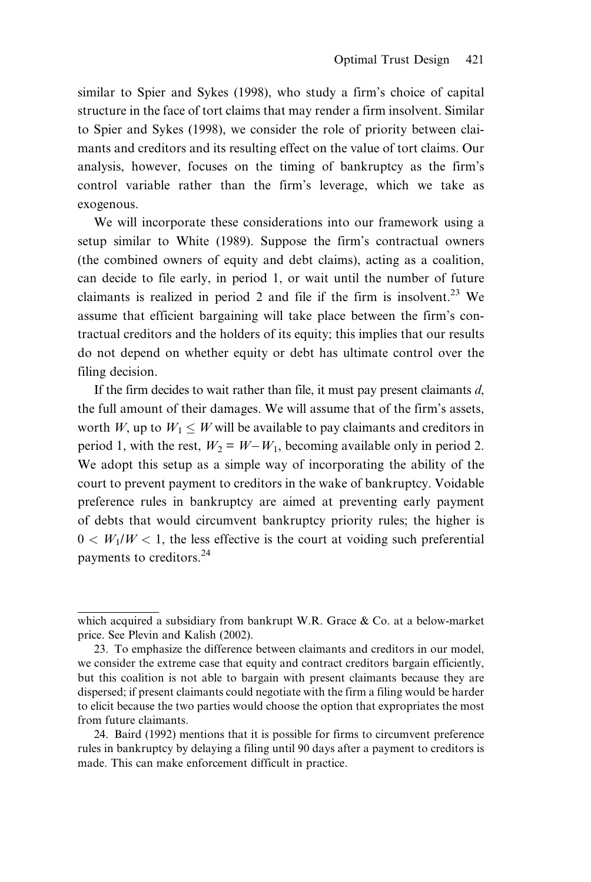similar to Spier and Sykes (1998), who study a firm's choice of capital structure in the face of tort claims that may render a firm insolvent. Similar to Spier and Sykes (1998), we consider the role of priority between claimants and creditors and its resulting effect on the value of tort claims. Our analysis, however, focuses on the timing of bankruptcy as the firm's control variable rather than the firm's leverage, which we take as exogenous.

We will incorporate these considerations into our framework using a setup similar to White (1989). Suppose the firm's contractual owners (the combined owners of equity and debt claims), acting as a coalition, can decide to file early, in period 1, or wait until the number of future claimants is realized in period 2 and file if the firm is insolvent.<sup>23</sup> We assume that efficient bargaining will take place between the firm's contractual creditors and the holders of its equity; this implies that our results do not depend on whether equity or debt has ultimate control over the filing decision.

If the firm decides to wait rather than file, it must pay present claimants  $d$ , the full amount of their damages. We will assume that of the firm's assets, worth W, up to  $W_1 \leq W$  will be available to pay claimants and creditors in period 1, with the rest,  $W_2 = W - W_1$ , becoming available only in period 2. We adopt this setup as a simple way of incorporating the ability of the court to prevent payment to creditors in the wake of bankruptcy. Voidable preference rules in bankruptcy are aimed at preventing early payment of debts that would circumvent bankruptcy priority rules; the higher is  $0 < W_1/W < 1$ , the less effective is the court at voiding such preferential payments to creditors.<sup>24</sup>

which acquired a subsidiary from bankrupt W.R. Grace  $\&$  Co. at a below-market price. See Plevin and Kalish (2002).

<sup>23.</sup> To emphasize the difference between claimants and creditors in our model, we consider the extreme case that equity and contract creditors bargain efficiently, but this coalition is not able to bargain with present claimants because they are dispersed; if present claimants could negotiate with the firm a filing would be harder to elicit because the two parties would choose the option that expropriates the most from future claimants.

<sup>24.</sup> Baird (1992) mentions that it is possible for firms to circumvent preference rules in bankruptcy by delaying a filing until 90 days after a payment to creditors is made. This can make enforcement difficult in practice.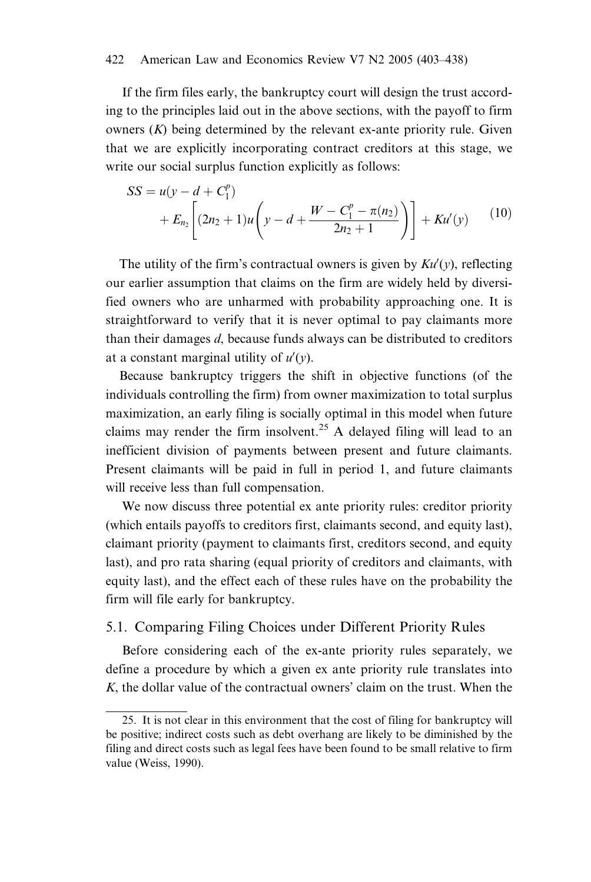If the firm files early, the bankruptcy court will design the trust according to the principles laid out in the above sections, with the payoff to firm owners  $(K)$  being determined by the relevant ex-ante priority rule. Given that we are explicitly incorporating contract creditors at this stage, we write our social surplus function explicitly as follows:

$$
SS = u(y - d + C_1^p) + E_{n_2} \left[ (2n_2 + 1)u \left( y - d + \frac{W - C_1^p - \pi(n_2)}{2n_2 + 1} \right) \right] + Ku'(y)
$$
(10)

The utility of the firm's contractual owners is given by  $Ku'(y)$ , reflecting our earlier assumption that claims on the firm are widely held by diversified owners who are unharmed with probability approaching one. It is straightforward to verify that it is never optimal to pay claimants more than their damages d, because funds always can be distributed to creditors at a constant marginal utility of  $u'(y)$ .

Because bankruptcy triggers the shift in objective functions (of the individuals controlling the firm) from owner maximization to total surplus maximization, an early filing is socially optimal in this model when future claims may render the firm insolvent.<sup>25</sup> A delayed filing will lead to an inefficient division of payments between present and future claimants. Present claimants will be paid in full in period 1, and future claimants will receive less than full compensation.

We now discuss three potential ex ante priority rules: creditor priority (which entails payoffs to creditors first, claimants second, and equity last), claimant priority (payment to claimants first, creditors second, and equity last), and pro rata sharing (equal priority of creditors and claimants, with equity last), and the effect each of these rules have on the probability the firm will file early for bankruptcy.

# 5.1. Comparing Filing Choices under Different Priority Rules

Before considering each of the ex-ante priority rules separately, we define a procedure by which a given ex ante priority rule translates into K, the dollar value of the contractual owners' claim on the trust. When the

<sup>25.</sup> It is not clear in this environment that the cost of filing for bankruptcy will be positive; indirect costs such as debt overhang are likely to be diminished by the filing and direct costs such as legal fees have been found to be small relative to firm value (Weiss, 1990).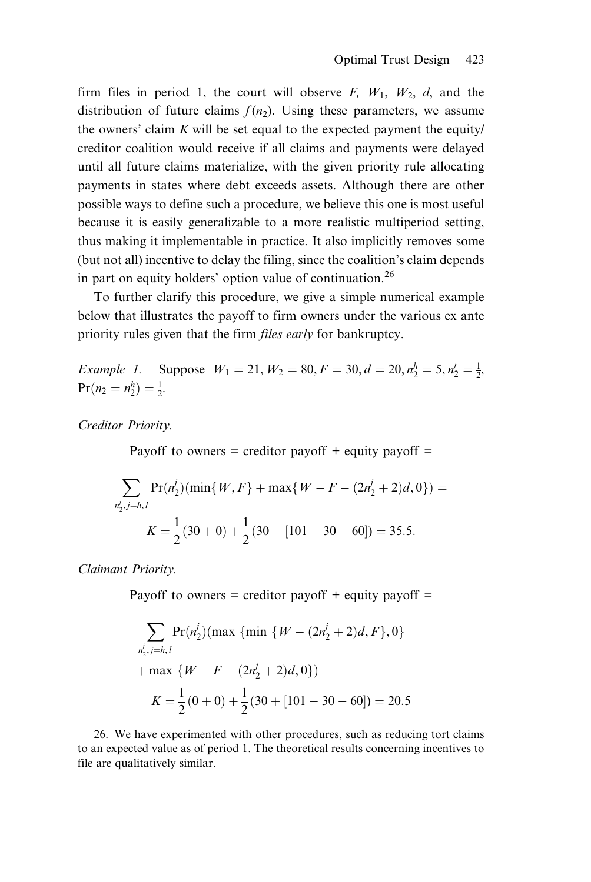firm files in period 1, the court will observe F,  $W_1$ ,  $W_2$ , d, and the distribution of future claims  $f(n_2)$ . Using these parameters, we assume the owners' claim  $K$  will be set equal to the expected payment the equity/ creditor coalition would receive if all claims and payments were delayed until all future claims materialize, with the given priority rule allocating payments in states where debt exceeds assets. Although there are other possible ways to define such a procedure, we believe this one is most useful because it is easily generalizable to a more realistic multiperiod setting, thus making it implementable in practice. It also implicitly removes some (but not all) incentive to delay the filing, since the coalition's claim depends in part on equity holders' option value of continuation.<sup>26</sup>

To further clarify this procedure, we give a simple numerical example below that illustrates the payoff to firm owners under the various ex ante priority rules given that the firm files early for bankruptcy.

*Example 1.* Suppose  $W_1 = 21, W_2 = 80, F = 30, d = 20, n_2^h = 5, n_2' = \frac{1}{2}$ ,  $Pr(n_2 = n_2^h) = \frac{1}{2}.$ 

Creditor Priority.

Payoff to owners = creditor payoff + equity payoff =

$$
\sum_{n_2,j=h, l} \Pr(n_2^j)(\min\{W, F\} + \max\{W - F - (2n_2^j + 2)d, 0\}) =
$$
  

$$
K = \frac{1}{2}(30 + 0) + \frac{1}{2}(30 + [101 - 30 - 60]) = 35.5.
$$

Claimant Priority.

Payoff to owners = creditor payoff + equity payoff =

$$
\sum_{n'_2, j=h, l} \Pr(n'_2) (\max \{ \min \{ W - (2n'_2 + 2)d, F \}, 0 \} + \max \{ W - F - (2n'_2 + 2)d, 0 \})
$$
  

$$
K = \frac{1}{2} (0 + 0) + \frac{1}{2} (30 + [101 - 30 - 60]) = 20.5
$$

<sup>26.</sup> We have experimented with other procedures, such as reducing tort claims to an expected value as of period 1. The theoretical results concerning incentives to file are qualitatively similar.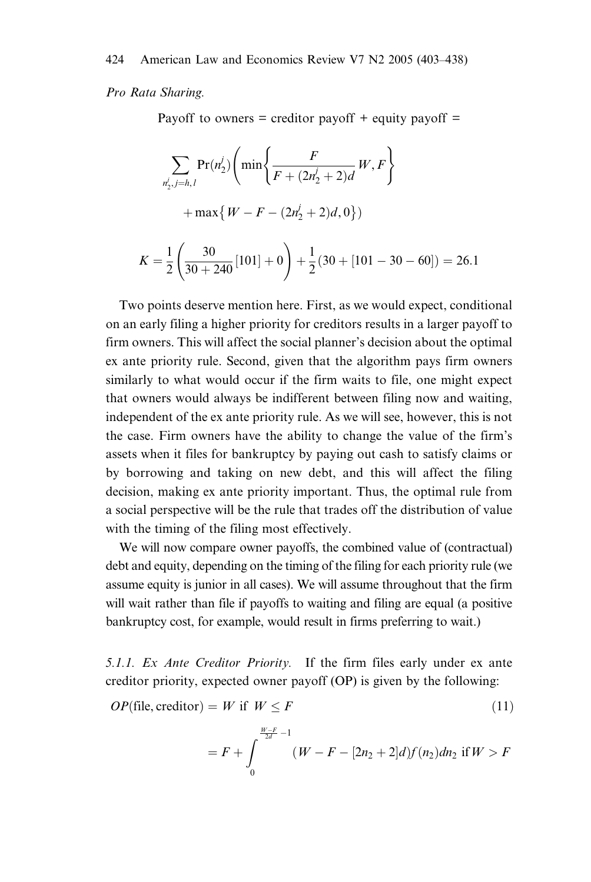Pro Rata Sharing.

Payoff to owners = creditor payoff + equity payoff =

$$
\sum_{n_2', j=h, l} \Pr(n_2') \left( \min \left\{ \frac{F}{F + (2n_2' + 2)d} W, F \right\} + \max \{ W - F - (2n_2' + 2)d, 0 \} \right)
$$
  

$$
K = \frac{1}{2} \left( \frac{30}{30 + 240} [101] + 0 \right) + \frac{1}{2} (30 + [101 - 30 - 60]) = 26.1
$$

Two points deserve mention here. First, as we would expect, conditional on an early filing a higher priority for creditors results in a larger payoff to firm owners. This will affect the social planner's decision about the optimal ex ante priority rule. Second, given that the algorithm pays firm owners similarly to what would occur if the firm waits to file, one might expect that owners would always be indifferent between filing now and waiting, independent of the ex ante priority rule. As we will see, however, this is not the case. Firm owners have the ability to change the value of the firm's assets when it files for bankruptcy by paying out cash to satisfy claims or by borrowing and taking on new debt, and this will affect the filing decision, making ex ante priority important. Thus, the optimal rule from a social perspective will be the rule that trades off the distribution of value with the timing of the filing most effectively.

We will now compare owner payoffs, the combined value of (contractual) debt and equity, depending on the timing of the filing for each priority rule (we assume equity is junior in all cases). We will assume throughout that the firm will wait rather than file if payoffs to waiting and filing are equal (a positive bankruptcy cost, for example, would result in firms preferring to wait.)

5.1.1. Ex Ante Creditor Priority. If the firm files early under ex ante creditor priority, expected owner payoff (OP) is given by the following:

$$
OP(\text{file, creditor}) = W \text{ if } W \le F \tag{11}
$$
\n
$$
= F + \int_{0}^{\frac{W-F}{2d} - 1} (W - F - [2n_2 + 2]d)f(n_2)dn_2 \text{ if } W > F
$$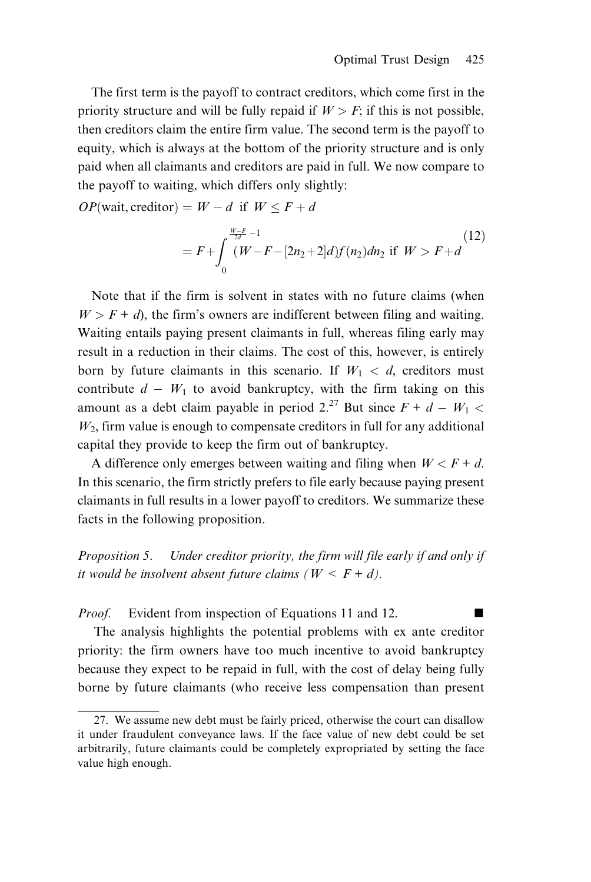The first term is the payoff to contract creditors, which come first in the priority structure and will be fully repaid if  $W > F$ ; if this is not possible, then creditors claim the entire firm value. The second term is the payoff to equity, which is always at the bottom of the priority structure and is only paid when all claimants and creditors are paid in full. We now compare to the payoff to waiting, which differs only slightly:

 $OP(wait, \text{creditor}) = W - d$  if  $W \leq F + d$ 

$$
= F + \int_0^{\frac{W-F}{2d} - 1} (W - F - [2n_2 + 2]d)f(n_2)dn_2 \text{ if } W > F + d \tag{12}
$$

Note that if the firm is solvent in states with no future claims (when  $W > F + d$ , the firm's owners are indifferent between filing and waiting. Waiting entails paying present claimants in full, whereas filing early may result in a reduction in their claims. The cost of this, however, is entirely born by future claimants in this scenario. If  $W_1 < d$ , creditors must contribute  $d - W_1$  to avoid bankruptcy, with the firm taking on this amount as a debt claim payable in period 2.<sup>27</sup> But since  $F + d - W_1$  <  $W<sub>2</sub>$ , firm value is enough to compensate creditors in full for any additional capital they provide to keep the firm out of bankruptcy.

A difference only emerges between waiting and filing when  $W < F + d$ . In this scenario, the firm strictly prefers to file early because paying present claimants in full results in a lower payoff to creditors. We summarize these facts in the following proposition.

Proposition 5. Under creditor priority, the firm will file early if and only if it would be insolvent absent future claims ( $W \leq F + d$ ).

Proof. Evident from inspection of Equations 11 and 12.

The analysis highlights the potential problems with ex ante creditor priority: the firm owners have too much incentive to avoid bankruptcy because they expect to be repaid in full, with the cost of delay being fully borne by future claimants (who receive less compensation than present

<sup>27.</sup> We assume new debt must be fairly priced, otherwise the court can disallow it under fraudulent conveyance laws. If the face value of new debt could be set arbitrarily, future claimants could be completely expropriated by setting the face value high enough.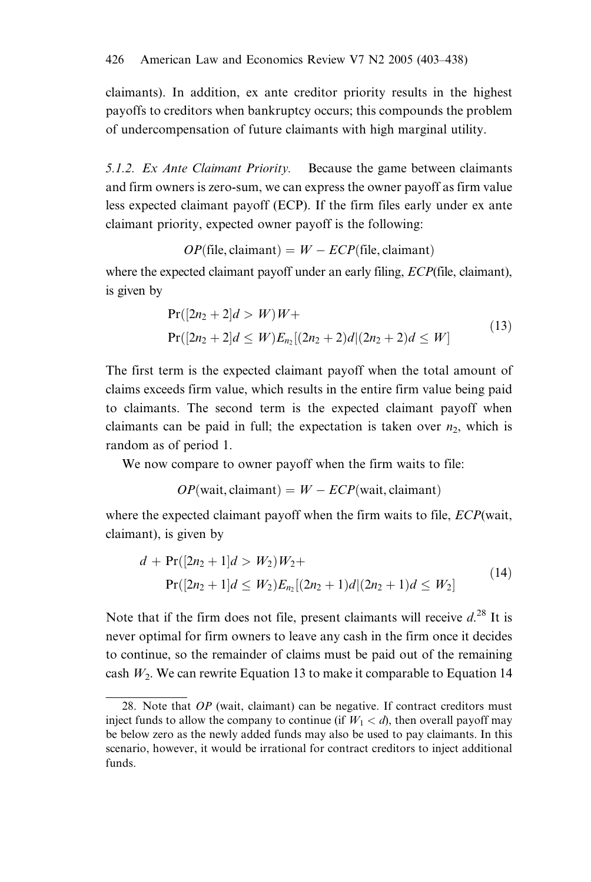claimants). In addition, ex ante creditor priority results in the highest payoffs to creditors when bankruptcy occurs; this compounds the problem of undercompensation of future claimants with high marginal utility.

5.1.2. Ex Ante Claimant Priority. Because the game between claimants and firm owners is zero-sum, we can express the owner payoff as firm value less expected claimant payoff (ECP). If the firm files early under ex ante claimant priority, expected owner payoff is the following:

 $OP$ (file, claimant) =  $W - ECP$ (file, claimant)

where the expected claimant payoff under an early filing, *ECP*(file, claimant), is given by

$$
Pr([2n2+2]d > W)W +
$$
  
\n
$$
Pr([2n2+2]d \leq W)E_{n2}[(2n2+2)d|(2n2+2)d \leq W]
$$
\n(13)

The first term is the expected claimant payoff when the total amount of claims exceeds firm value, which results in the entire firm value being paid to claimants. The second term is the expected claimant payoff when claimants can be paid in full; the expectation is taken over  $n_2$ , which is random as of period 1.

We now compare to owner payoff when the firm waits to file:

 $OP(wait, claimant) = W - ECP(wait, claimant)$ 

where the expected claimant payoff when the firm waits to file, *ECP*(wait, claimant), is given by

$$
d + \Pr([2n_2 + 1]d > W_2)W_2 +
$$
  
\n
$$
\Pr([2n_2 + 1]d \le W_2)E_{n_2}[(2n_2 + 1)d|(2n_2 + 1)d \le W_2]
$$
\n(14)

Note that if the firm does not file, present claimants will receive  $d^{28}$  It is never optimal for firm owners to leave any cash in the firm once it decides to continue, so the remainder of claims must be paid out of the remaining cash  $W_2$ . We can rewrite Equation 13 to make it comparable to Equation 14

<sup>28.</sup> Note that  $OP$  (wait, claimant) can be negative. If contract creditors must inject funds to allow the company to continue (if  $W_1 < d$ ), then overall payoff may be below zero as the newly added funds may also be used to pay claimants. In this scenario, however, it would be irrational for contract creditors to inject additional funds.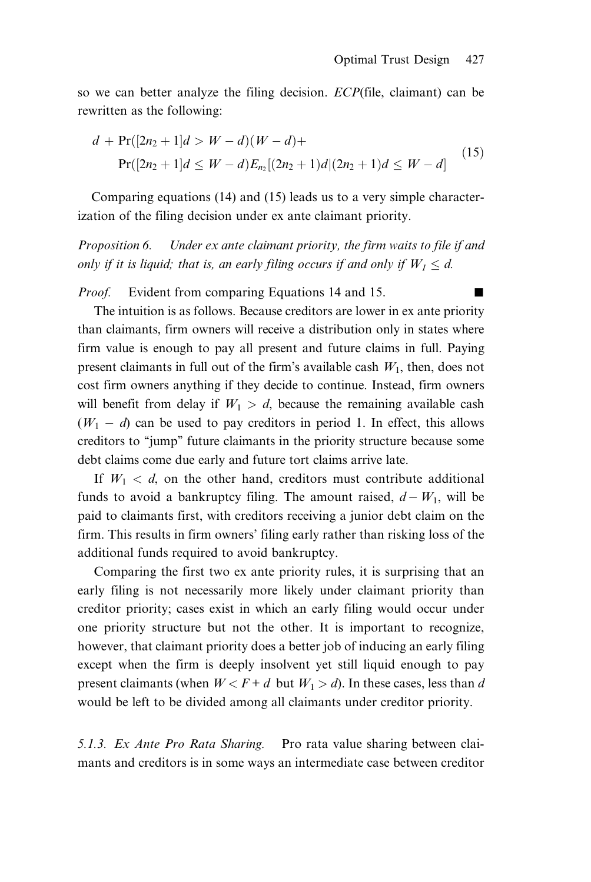so we can better analyze the filing decision. ECP(file, claimant) can be rewritten as the following:

$$
d + \Pr([2n_2 + 1]d > W - d)(W - d) + \Pr([2n_2 + 1]d \le W - d)E_{n_2}[(2n_2 + 1)d|(2n_2 + 1)d \le W - d]
$$
 (15)

Comparing equations (14) and (15) leads us to a very simple characterization of the filing decision under ex ante claimant priority.

Proposition 6. Under ex ante claimant priority, the firm waits to file if and only if it is liquid; that is, an early filing occurs if and only if  $W_1 \leq d$ .

*Proof.* Evident from comparing Equations 14 and 15.

The intuition is as follows. Because creditors are lower in ex ante priority than claimants, firm owners will receive a distribution only in states where firm value is enough to pay all present and future claims in full. Paying present claimants in full out of the firm's available cash  $W_1$ , then, does not cost firm owners anything if they decide to continue. Instead, firm owners will benefit from delay if  $W_1 > d$ , because the remaining available cash  $(W_1 - d)$  can be used to pay creditors in period 1. In effect, this allows creditors to ''jump'' future claimants in the priority structure because some debt claims come due early and future tort claims arrive late.

If  $W_1 < d$ , on the other hand, creditors must contribute additional funds to avoid a bankruptcy filing. The amount raised,  $d - W_1$ , will be paid to claimants first, with creditors receiving a junior debt claim on the firm. This results in firm owners' filing early rather than risking loss of the additional funds required to avoid bankruptcy.

Comparing the first two ex ante priority rules, it is surprising that an early filing is not necessarily more likely under claimant priority than creditor priority; cases exist in which an early filing would occur under one priority structure but not the other. It is important to recognize, however, that claimant priority does a better job of inducing an early filing except when the firm is deeply insolvent yet still liquid enough to pay present claimants (when  $W < F + d$  but  $W_1 > d$ ). In these cases, less than d would be left to be divided among all claimants under creditor priority.

5.1.3. Ex Ante Pro Rata Sharing. Pro rata value sharing between claimants and creditors is in some ways an intermediate case between creditor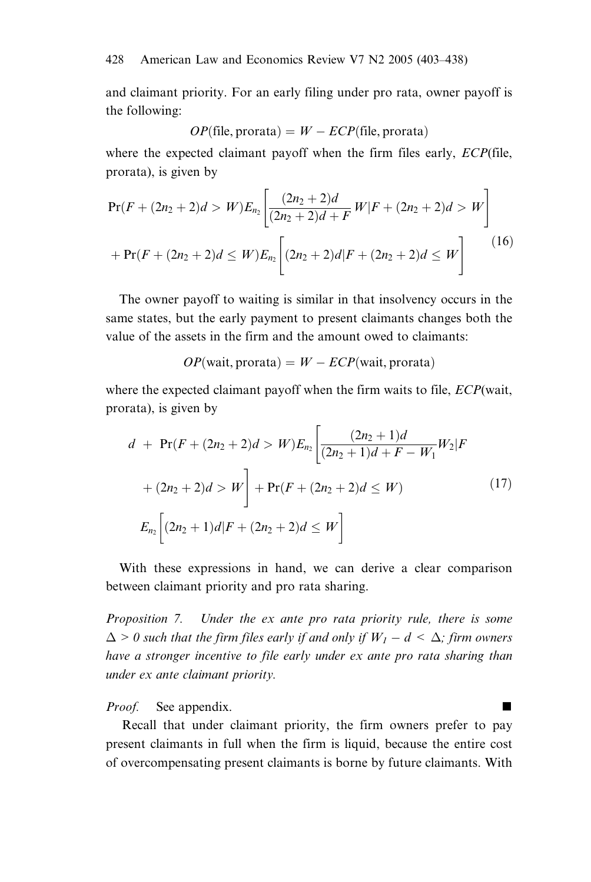and claimant priority. For an early filing under pro rata, owner payoff is the following:

$$
OP
$$
(file, prorata) =  $W - ECP$ (file, prorata)

where the expected claimant payoff when the firm files early, *ECP*(file, prorata), is given by

$$
\Pr(F + (2n_2 + 2)d > W)E_{n_2}\left[\frac{(2n_2 + 2)d}{(2n_2 + 2)d + F}W|F + (2n_2 + 2)d > W\right]
$$
  
+ 
$$
\Pr(F + (2n_2 + 2)d \le W)E_{n_2}\left[(2n_2 + 2)d|F + (2n_2 + 2)d \le W\right]
$$
(16)

The owner payoff to waiting is similar in that insolvency occurs in the same states, but the early payment to present claimants changes both the value of the assets in the firm and the amount owed to claimants:

 $OP(wait, prorata) = W - ECP(wait, prorata)$ 

where the expected claimant payoff when the firm waits to file, *ECP*(wait, prorata), is given by

$$
d + \Pr(F + (2n_2 + 2)d > W)E_{n_2}\left[\frac{(2n_2 + 1)d}{(2n_2 + 1)d + F - W_1}W_2\right]F
$$

$$
+ (2n_2 + 2)d > W\right] + \Pr(F + (2n_2 + 2)d \le W)
$$
(17)
$$
E_{n_2}\left[(2n_2 + 1)d|F + (2n_2 + 2)d \le W\right]
$$

With these expressions in hand, we can derive a clear comparison between claimant priority and pro rata sharing.

Proposition 7. Under the ex ante pro rata priority rule, there is some  $\Delta \geq 0$  such that the firm files early if and only if  $W_I-d \leq \Delta$ ; firm owners have a stronger incentive to file early under ex ante pro rata sharing than under ex ante claimant priority.

*Proof.* See appendix.

Recall that under claimant priority, the firm owners prefer to pay present claimants in full when the firm is liquid, because the entire cost of overcompensating present claimants is borne by future claimants. With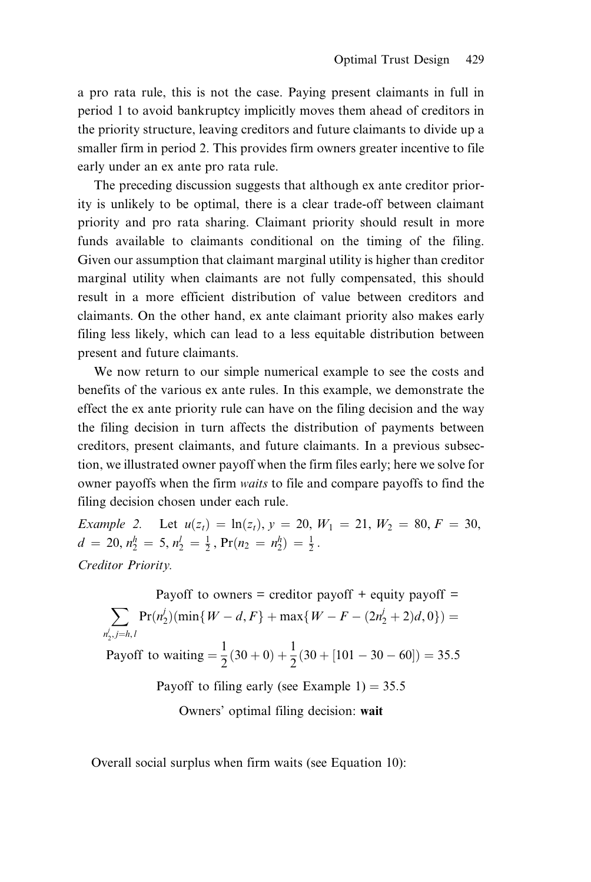a pro rata rule, this is not the case. Paying present claimants in full in period 1 to avoid bankruptcy implicitly moves them ahead of creditors in the priority structure, leaving creditors and future claimants to divide up a smaller firm in period 2. This provides firm owners greater incentive to file early under an ex ante pro rata rule.

The preceding discussion suggests that although ex ante creditor priority is unlikely to be optimal, there is a clear trade-off between claimant priority and pro rata sharing. Claimant priority should result in more funds available to claimants conditional on the timing of the filing. Given our assumption that claimant marginal utility is higher than creditor marginal utility when claimants are not fully compensated, this should result in a more efficient distribution of value between creditors and claimants. On the other hand, ex ante claimant priority also makes early filing less likely, which can lead to a less equitable distribution between present and future claimants.

We now return to our simple numerical example to see the costs and benefits of the various ex ante rules. In this example, we demonstrate the effect the ex ante priority rule can have on the filing decision and the way the filing decision in turn affects the distribution of payments between creditors, present claimants, and future claimants. In a previous subsection, we illustrated owner payoff when the firm files early; here we solve for owner payoffs when the firm waits to file and compare payoffs to find the filing decision chosen under each rule.

Example 2. Let  $u(z_t) = \ln(z_t)$ ,  $y = 20$ ,  $W_1 = 21$ ,  $W_2 = 80$ ,  $F = 30$ ,  $d = 20, n_2^h = 5, n_2^l = \frac{1}{2}, \Pr(n_2 = n_2^h) = \frac{1}{2}.$ Creditor Priority.

Payoff to owners = creditor payoff + equity payoff =

\n
$$
\sum_{n'_2, j=h, l} \Pr(n'_2) (\min\{W - d, F\} + \max\{W - F - (2n'_2 + 2)d, 0\}) =
$$
\nPayoff to waiting =

\n
$$
\frac{1}{2} (30 + 0) + \frac{1}{2} (30 + [101 - 30 - 60]) = 35.5
$$
\nPayoff to filing early (see Example 1) = 35.5

\nOwners' optimal filing decision: wait

Overall social surplus when firm waits (see Equation 10):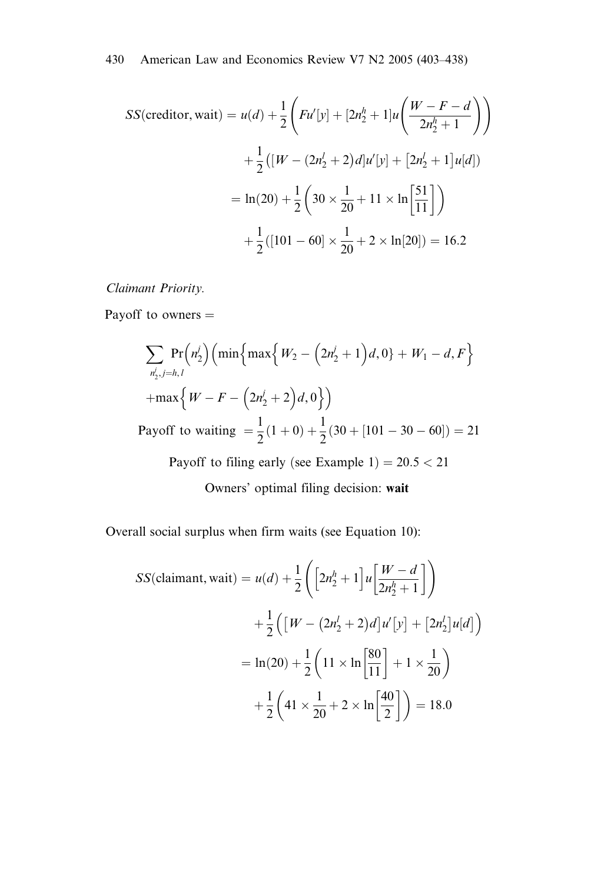$$
SS(\text{creditor}, \text{wait}) = u(d) + \frac{1}{2} \left( F u'[y] + [2n_2^h + 1] u \left( \frac{W - F - d}{2n_2^h + 1} \right) \right)
$$

$$
+ \frac{1}{2} \left( [W - (2n_2^l + 2) d] u'[y] + [2n_2^l + 1] u[d] \right)
$$

$$
= \ln(20) + \frac{1}{2} \left( 30 \times \frac{1}{20} + 11 \times \ln \left[ \frac{51}{11} \right] \right)
$$

$$
+ \frac{1}{2} ([101 - 60] \times \frac{1}{20} + 2 \times \ln[20]) = 16.2
$$

Claimant Priority.

Payoff to owners  $=$ 

$$
\sum_{n'_2, j=h, l} \Pr(n'_2) \Big( \min \Big\{ \max \Big\{ W_2 - \Big( 2n'_2 + 1 \Big) d, 0 \Big\} + W_1 - d, F \Big\}
$$
  
+
$$
\max \Big\{ W - F - \Big( 2n'_2 + 2 \Big) d, 0 \Big\} \Big)
$$
  
Payoff to waiting  $= \frac{1}{2} (1 + 0) + \frac{1}{2} (30 + [101 - 30 - 60]) = 21$   
Payoff to filing early (see Example 1) = 20.5 < 21  
Owners' optimal filing decision: **wait**

Overall social surplus when firm waits (see Equation 10):

$$
SS(\text{claimant}, \text{wait}) = u(d) + \frac{1}{2} \left( \left[ 2n_2^h + 1 \right] u \left[ \frac{W - d}{2n_2^h + 1} \right] \right)
$$
  
+ 
$$
\frac{1}{2} \left( \left[ W - (2n_2^l + 2) d \right] u'[y] + \left[ 2n_2^l \right] u[d] \right)
$$
  
= 
$$
\ln(20) + \frac{1}{2} \left( 11 \times \ln \left[ \frac{80}{11} \right] + 1 \times \frac{1}{20} \right)
$$
  
+ 
$$
\frac{1}{2} \left( 41 \times \frac{1}{20} + 2 \times \ln \left[ \frac{40}{2} \right] \right) = 18.0
$$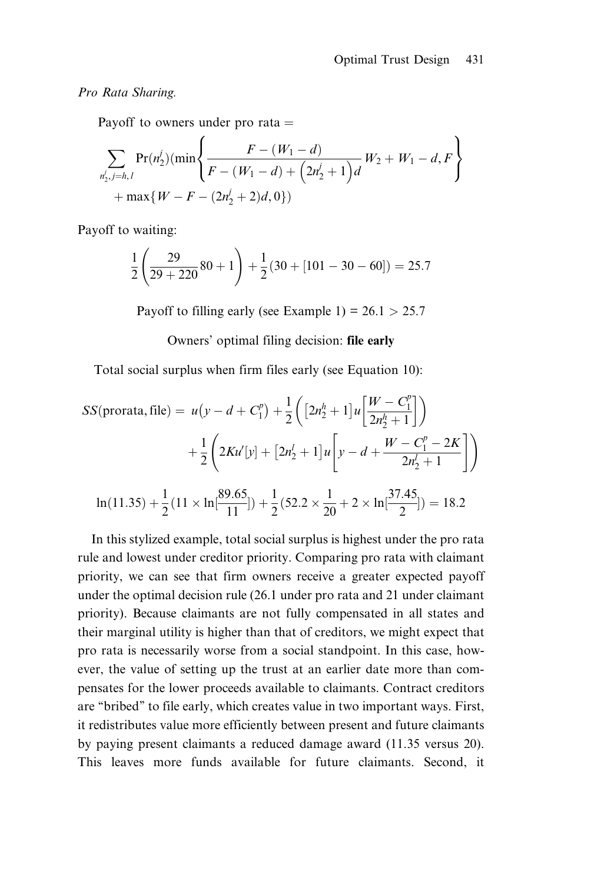Pro Rata Sharing.

Payoff to owners under pro rata  $=$ 

$$
\sum_{\substack{n_2^j, j=h, l}} \Pr(n_2^j)(\min\left\{\frac{F - (W_1 - d)}{F - (W_1 - d) + (2n_2^j + 1)}\right\} W_2 + W_1 - d, F\right\}
$$
  
+ 
$$
\max\{W - F - (2n_2^j + 2)d, 0\})
$$

Payoff to waiting:

$$
\frac{1}{2}\left(\frac{29}{29+220}80+1\right) + \frac{1}{2}(30 + [101 - 30 - 60]) = 25.7
$$

Payoff to filling early (see Example 1) =  $26.1 > 25.7$ 

## Owners' optimal filing decision: file early

Total social surplus when firm files early (see Equation 10):

$$
SS(\text{proxata}, \text{file}) = u(y - d + C_1^p) + \frac{1}{2} \left( \left[ 2n_2^h + 1 \right] u \left[ \frac{W - C_1^p}{2n_2^h + 1} \right] \right)
$$

$$
+ \frac{1}{2} \left( 2Ku'[y] + \left[ 2n_2^l + 1 \right] u \left[ y - d + \frac{W - C_1^p - 2K}{2n_2^l + 1} \right] \right)
$$

$$
\ln(11.35) + \frac{1}{2} (11 \times \ln[\frac{89.65}{11}]) + \frac{1}{2} (52.2 \times \frac{1}{20} + 2 \times \ln[\frac{37.45}{2}]) = 18.2
$$

In this stylized example, total social surplus is highest under the pro rata rule and lowest under creditor priority. Comparing pro rata with claimant priority, we can see that firm owners receive a greater expected payoff under the optimal decision rule (26.1 under pro rata and 21 under claimant priority). Because claimants are not fully compensated in all states and their marginal utility is higher than that of creditors, we might expect that pro rata is necessarily worse from a social standpoint. In this case, however, the value of setting up the trust at an earlier date more than compensates for the lower proceeds available to claimants. Contract creditors are ''bribed'' to file early, which creates value in two important ways. First, it redistributes value more efficiently between present and future claimants by paying present claimants a reduced damage award (11.35 versus 20). This leaves more funds available for future claimants. Second, it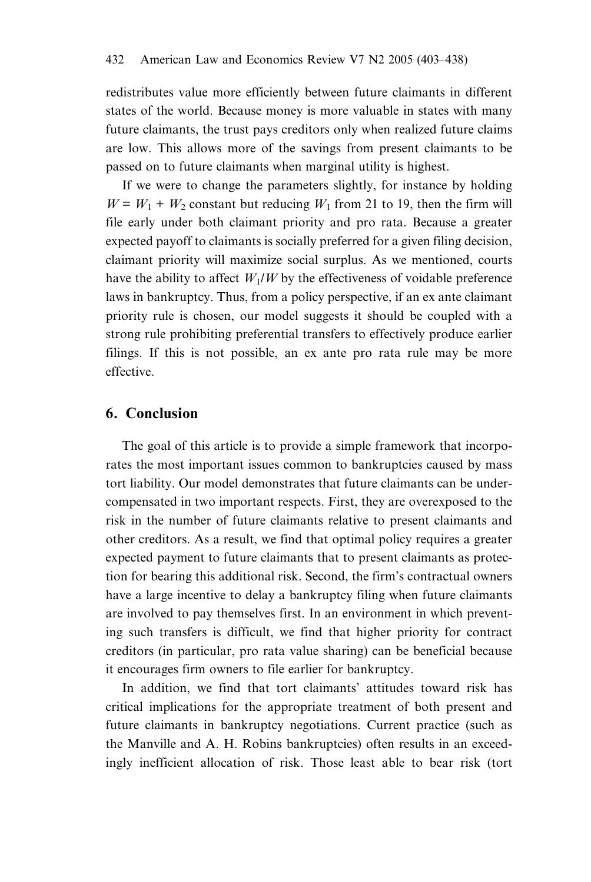redistributes value more efficiently between future claimants in different states of the world. Because money is more valuable in states with many future claimants, the trust pays creditors only when realized future claims are low. This allows more of the savings from present claimants to be passed on to future claimants when marginal utility is highest.

If we were to change the parameters slightly, for instance by holding  $W = W_1 + W_2$  constant but reducing  $W_1$  from 21 to 19, then the firm will file early under both claimant priority and pro rata. Because a greater expected payoff to claimants is socially preferred for a given filing decision, claimant priority will maximize social surplus. As we mentioned, courts have the ability to affect  $W_1/W$  by the effectiveness of voidable preference laws in bankruptcy. Thus, from a policy perspective, if an ex ante claimant priority rule is chosen, our model suggests it should be coupled with a strong rule prohibiting preferential transfers to effectively produce earlier filings. If this is not possible, an ex ante pro rata rule may be more effective.

# 6. Conclusion

The goal of this article is to provide a simple framework that incorporates the most important issues common to bankruptcies caused by mass tort liability. Our model demonstrates that future claimants can be undercompensated in two important respects. First, they are overexposed to the risk in the number of future claimants relative to present claimants and other creditors. As a result, we find that optimal policy requires a greater expected payment to future claimants that to present claimants as protection for bearing this additional risk. Second, the firm's contractual owners have a large incentive to delay a bankruptcy filing when future claimants are involved to pay themselves first. In an environment in which preventing such transfers is difficult, we find that higher priority for contract creditors (in particular, pro rata value sharing) can be beneficial because it encourages firm owners to file earlier for bankruptcy.

In addition, we find that tort claimants' attitudes toward risk has critical implications for the appropriate treatment of both present and future claimants in bankruptcy negotiations. Current practice (such as the Manville and A. H. Robins bankruptcies) often results in an exceedingly inefficient allocation of risk. Those least able to bear risk (tort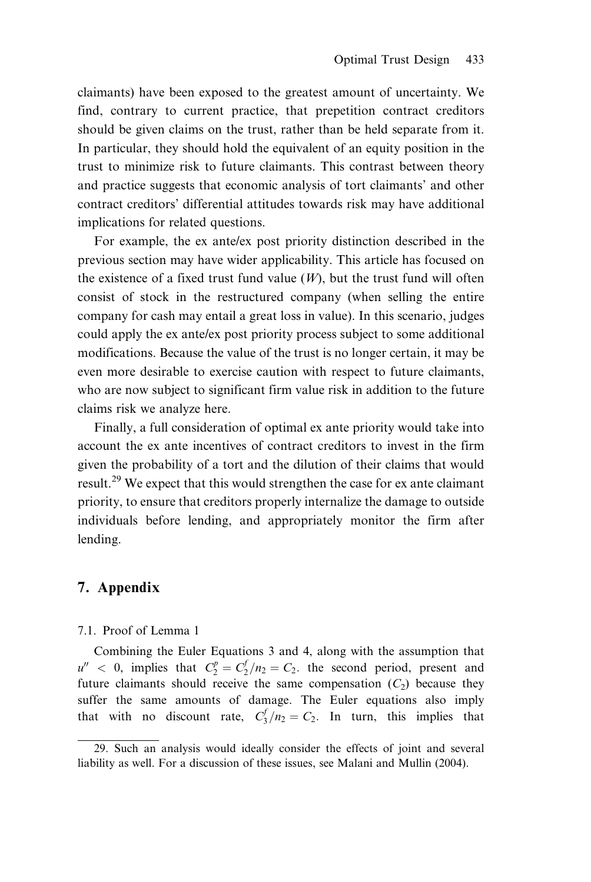claimants) have been exposed to the greatest amount of uncertainty. We find, contrary to current practice, that prepetition contract creditors should be given claims on the trust, rather than be held separate from it. In particular, they should hold the equivalent of an equity position in the trust to minimize risk to future claimants. This contrast between theory and practice suggests that economic analysis of tort claimants' and other contract creditors' differential attitudes towards risk may have additional implications for related questions.

For example, the ex ante/ex post priority distinction described in the previous section may have wider applicability. This article has focused on the existence of a fixed trust fund value  $(W)$ , but the trust fund will often consist of stock in the restructured company (when selling the entire company for cash may entail a great loss in value). In this scenario, judges could apply the ex ante/ex post priority process subject to some additional modifications. Because the value of the trust is no longer certain, it may be even more desirable to exercise caution with respect to future claimants, who are now subject to significant firm value risk in addition to the future claims risk we analyze here.

Finally, a full consideration of optimal ex ante priority would take into account the ex ante incentives of contract creditors to invest in the firm given the probability of a tort and the dilution of their claims that would result.<sup>29</sup> We expect that this would strengthen the case for ex ante claimant priority, to ensure that creditors properly internalize the damage to outside individuals before lending, and appropriately monitor the firm after lending.

## 7. Appendix

#### 7.1. Proof of Lemma 1

Combining the Euler Equations 3 and 4, along with the assumption that  $u''$  < 0, implies that  $C_2^p = C_2^f/n_2 = C_2$ . the second period, present and future claimants should receive the same compensation  $(C_2)$  because they suffer the same amounts of damage. The Euler equations also imply that with no discount rate,  $C_3^f/n_2 = C_2$ . In turn, this implies that

<sup>29.</sup> Such an analysis would ideally consider the effects of joint and several liability as well. For a discussion of these issues, see Malani and Mullin (2004).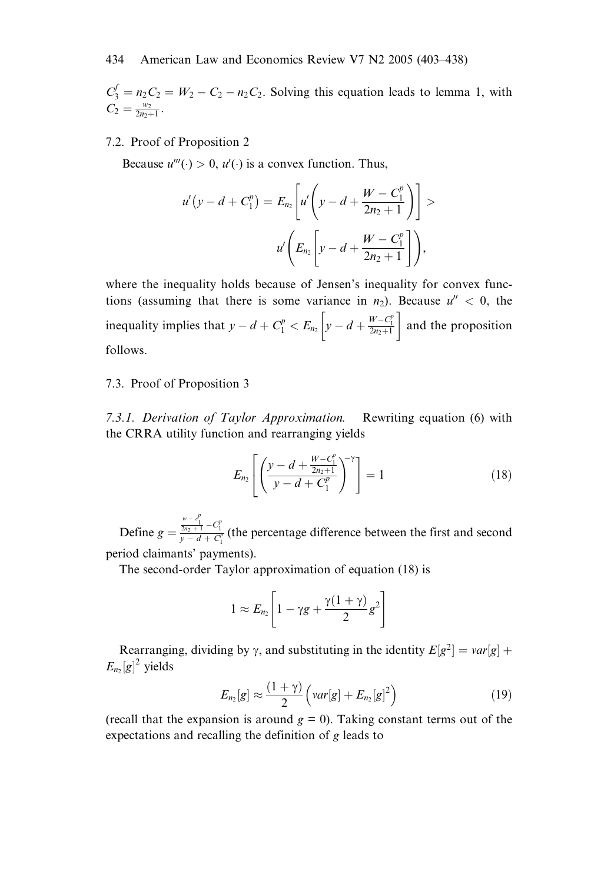$C_3^f = n_2C_2 = W_2 - C_2 - n_2C_2$ . Solving this equation leads to lemma 1, with  $C_2 = \frac{w_2}{2n_2+1}.$ 

#### 7.2. Proof of Proposition 2

Because  $u'''(\cdot) > 0$ ,  $u'(\cdot)$  is a convex function. Thus,

$$
u'(y-d+C_1^p) = E_{n_2}\left[u'\left(y-d+\frac{W-C_1^p}{2n_2+1}\right)\right] > u'\left(E_{n_2}\left[y-d+\frac{W-C_1^p}{2n_2+1}\right]\right),
$$

where the inequality holds because of Jensen's inequality for convex functions (assuming that there is some variance in  $n_2$ ). Because  $u'' < 0$ , the inequality implies that  $y - d + C_1^p < E_{n_2}$  $\overline{1}$  $y-d+\frac{W-C_1^p}{2n_2+1}$  $\overline{1}$ and the proposition follows.

## 7.3. Proof of Proposition 3

7.3.1. Derivation of Taylor Approximation. Rewriting equation (6) with the CRRA utility function and rearranging yields

$$
E_{n_2} \left[ \left( \frac{y - d + \frac{W - C_1^n}{2n_2 + 1}}{y - d + C_1^p} \right)^{-\gamma} \right] = 1 \tag{18}
$$

Define  $g =$  $\frac{\frac{w-c_1^p}{2n_2+1}-C_1^p}{w-d+C_1^p}$  (the percentage difference between the first and second period claimants' payments).

The second-order Taylor approximation of equation (18) is

$$
1 \approx E_{n_2} \left[ 1 - \gamma g + \frac{\gamma (1 + \gamma)}{2} g^2 \right]
$$

Rearranging, dividing by  $\gamma$ , and substituting in the identity  $E[g^2] = var[g] +$  $E_{n_2}[g]^2$  yields

$$
E_{n_2}[g] \approx \frac{(1+\gamma)}{2} \left( var[g] + E_{n_2}[g]^2 \right)
$$
 (19)

(recall that the expansion is around  $g = 0$ ). Taking constant terms out of the expectations and recalling the definition of g leads to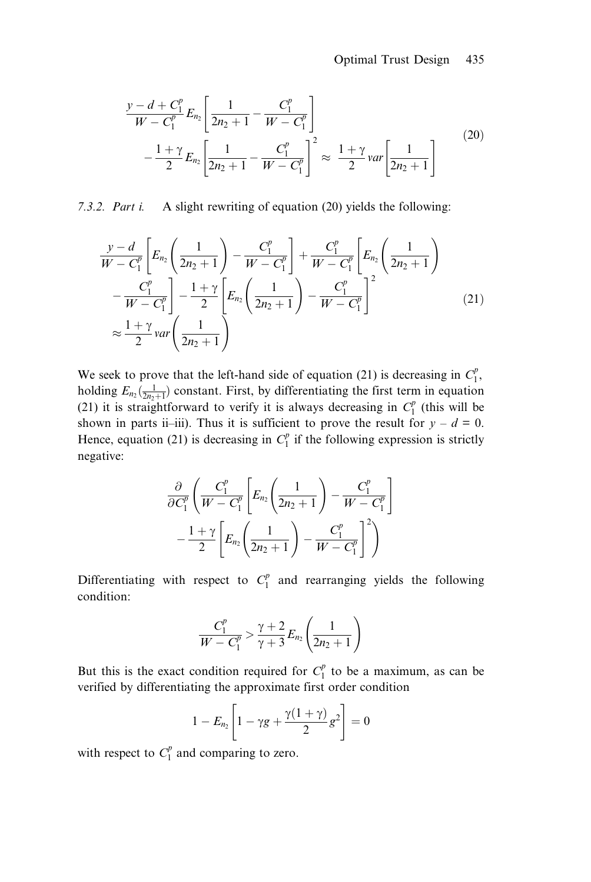$$
\frac{y-d+C_1^p}{W-C_1^p}E_{n_2}\left[\frac{1}{2n_2+1}-\frac{C_1^p}{W-C_1^p}\right] -\frac{1+\gamma}{2}E_{n_2}\left[\frac{1}{2n_2+1}-\frac{C_1^p}{W-C_1^p}\right]^2 \approx \frac{1+\gamma}{2}var\left[\frac{1}{2n_2+1}\right]
$$
\n(20)

7.3.2. Part i. A slight rewriting of equation (20) yields the following:

$$
\frac{y-d}{W-C_1^p} \left[ E_{n_2} \left( \frac{1}{2n_2+1} \right) - \frac{C_1^p}{W-C_1^p} \right] + \frac{C_1^p}{W-C_1^p} \left[ E_{n_2} \left( \frac{1}{2n_2+1} \right) - \frac{C_1^p}{W-C_1^p} \right] - \frac{1+\gamma}{1-\gamma} \left[ E_{n_2} \left( \frac{1}{2n_2+1} \right) - \frac{C_1^p}{W-C_1^p} \right]^2
$$
\n
$$
\approx \frac{1+\gamma}{2} \text{var}\left( \frac{1}{2n_2+1} \right) \tag{21}
$$

We seek to prove that the left-hand side of equation (21) is decreasing in  $C_1^p$ , holding  $E_{n_2}(\frac{1}{2n_2+1})$  constant. First, by differentiating the first term in equation (21) it is straightforward to verify it is always decreasing in  $C_1^p$  (this will be shown in parts ii–iii). Thus it is sufficient to prove the result for  $y - d = 0$ . Hence, equation (21) is decreasing in  $C_1^p$  if the following expression is strictly negative:

$$
\frac{\partial}{\partial C_1^p}\left(\frac{C_1^p}{W-C_1^p}\left[E_{n_2}\left(\frac{1}{2n_2+1}\right)-\frac{C_1^p}{W-C_1^p}\right]\right.-\frac{1+\gamma}{2}\left[E_{n_2}\left(\frac{1}{2n_2+1}\right)-\frac{C_1^p}{W-C_1^p}\right]^2\right)
$$

Differentiating with respect to  $C_1^p$  and rearranging yields the following condition:

$$
\frac{C_1^p}{W-C_1^p} > \frac{\gamma+2}{\gamma+3}E_{n_2}\left(\frac{1}{2n_2+1}\right)
$$

But this is the exact condition required for  $C_1^p$  to be a maximum, as can be verified by differentiating the approximate first order condition

$$
1 - E_{n_2} \left[ 1 - \gamma g + \frac{\gamma (1 + \gamma)}{2} g^2 \right] = 0
$$

with respect to  $C_1^p$  and comparing to zero.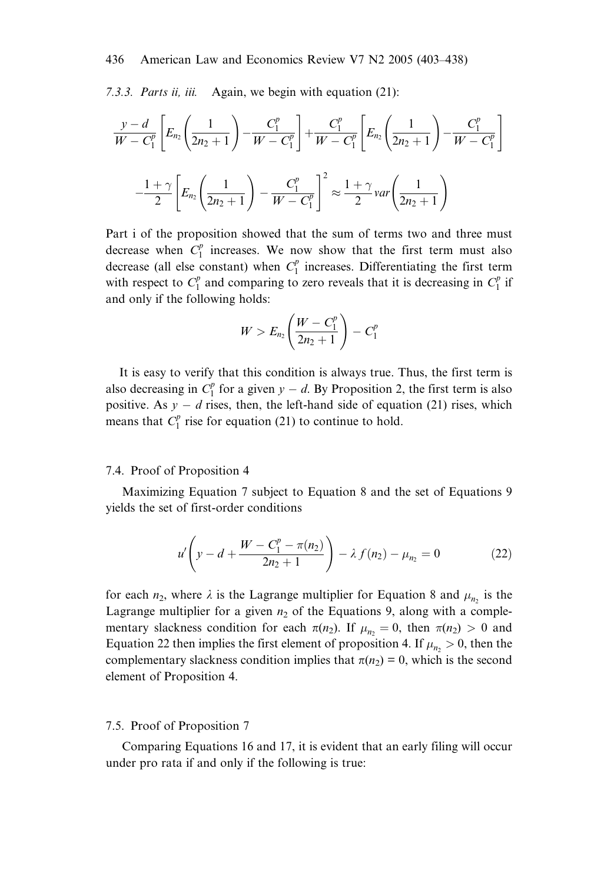#### 436 American Law and Economics Review V7 N2 2005 (403–438)

7.3.3. *Parts ii, iii.* Again, we begin with equation (21):

$$
\frac{y-d}{W-C_1^p} \left[ E_{n_2} \left( \frac{1}{2n_2+1} \right) - \frac{C_1^p}{W-C_1^p} \right] + \frac{C_1^p}{W-C_1^p} \left[ E_{n_2} \left( \frac{1}{2n_2+1} \right) - \frac{C_1^p}{W-C_1^p} \right]
$$
  

$$
- \frac{1+\gamma}{2} \left[ E_{n_2} \left( \frac{1}{2n_2+1} \right) - \frac{C_1^p}{W-C_1^p} \right]^2 \approx \frac{1+\gamma}{2} \text{var} \left( \frac{1}{2n_2+1} \right)
$$

Part i of the proposition showed that the sum of terms two and three must decrease when  $C_1^p$  increases. We now show that the first term must also decrease (all else constant) when  $C_1^p$  increases. Differentiating the first term with respect to  $C_1^p$  and comparing to zero reveals that it is decreasing in  $C_1^p$  if and only if the following holds:

$$
W > E_{n_2}\left(\frac{W - C_1^p}{2n_2 + 1}\right) - C_1^p
$$

It is easy to verify that this condition is always true. Thus, the first term is also decreasing in  $C_1^p$  for a given  $y - d$ . By Proposition 2, the first term is also positive. As  $y - d$  rises, then, the left-hand side of equation (21) rises, which means that  $C_1^p$  rise for equation (21) to continue to hold.

#### 7.4. Proof of Proposition 4

Maximizing Equation 7 subject to Equation 8 and the set of Equations 9 yields the set of first-order conditions

$$
u'\left(y-d+\frac{W-C_1^p-\pi(n_2)}{2n_2+1}\right)-\lambda f(n_2)-\mu_{n_2}=0
$$
 (22)

for each  $n_2$ , where  $\lambda$  is the Lagrange multiplier for Equation 8 and  $\mu_n$  is the Lagrange multiplier for a given  $n_2$  of the Equations 9, along with a complementary slackness condition for each  $\pi(n_2)$ . If  $\mu_n = 0$ , then  $\pi(n_2) > 0$  and Equation 22 then implies the first element of proposition 4. If  $\mu_n > 0$ , then the complementary slackness condition implies that  $\pi(n_2) = 0$ , which is the second element of Proposition 4.

#### 7.5. Proof of Proposition 7

Comparing Equations 16 and 17, it is evident that an early filing will occur under pro rata if and only if the following is true: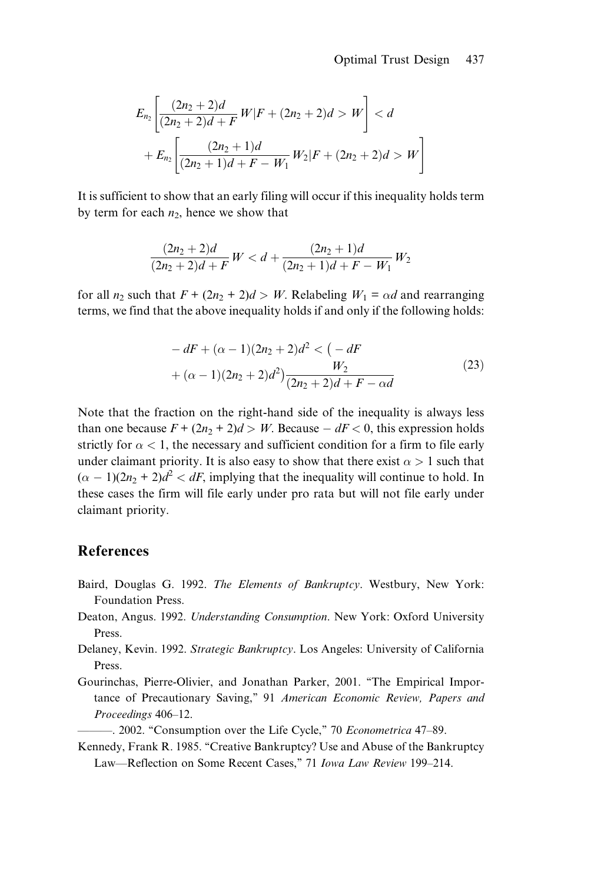$$
E_{n_2}\left[\frac{(2n_2+2)d}{(2n_2+2)d+F}W|F+(2n_2+2)d>W\right]  
+
$$
E_{n_2}\left[\frac{(2n_2+1)d}{(2n_2+1)d+F-W_1}W_2|F+(2n_2+2)d>W\right]
$$
$$

It is sufficient to show that an early filing will occur if this inequality holds term by term for each  $n_2$ , hence we show that

$$
\frac{(2n_2+2)d}{(2n_2+2)d+F}W < d + \frac{(2n_2+1)d}{(2n_2+1)d+F-W_1}W_2
$$

for all  $n_2$  such that  $F + (2n_2 + 2)d > W$ . Relabeling  $W_1 = \alpha d$  and rearranging terms, we find that the above inequality holds if and only if the following holds:

$$
-dF + (\alpha - 1)(2n_2 + 2)d^2 < \left(-dF + (\alpha - 1)(2n_2 + 2)d^2\right) \frac{W_2}{(2n_2 + 2)d + F - \alpha d}
$$
\n(23)

Note that the fraction on the right-hand side of the inequality is always less than one because  $F + (2n_2 + 2)d > W$ . Because  $-dF < 0$ , this expression holds strictly for  $\alpha < 1$ , the necessary and sufficient condition for a firm to file early under claimant priority. It is also easy to show that there exist  $\alpha > 1$  such that  $(\alpha - 1)(2n_2 + 2)d^2 < dF$ , implying that the inequality will continue to hold. In these cases the firm will file early under pro rata but will not file early under claimant priority.

## References

- Baird, Douglas G. 1992. The Elements of Bankruptcy. Westbury, New York: Foundation Press.
- Deaton, Angus. 1992. Understanding Consumption. New York: Oxford University Press.
- Delaney, Kevin. 1992. Strategic Bankruptcy. Los Angeles: University of California Press.
- Gourinchas, Pierre-Olivier, and Jonathan Parker, 2001. ''The Empirical Importance of Precautionary Saving," 91 American Economic Review, Papers and Proceedings 406–12.

- 2002. "Consumption over the Life Cycle," 70 Econometrica 47-89.

Kennedy, Frank R. 1985. "Creative Bankruptcy? Use and Abuse of the Bankruptcy Law—Reflection on Some Recent Cases," 71 Iowa Law Review 199-214.